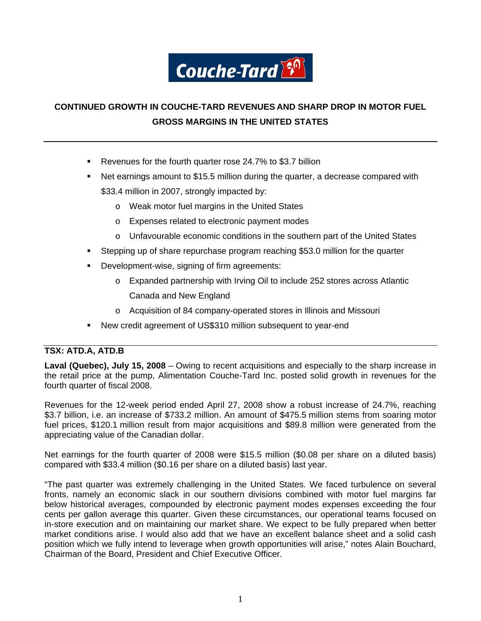

# **CONTINUED GROWTH IN COUCHE-TARD REVENUES AND SHARP DROP IN MOTOR FUEL GROSS MARGINS IN THE UNITED STATES**

- Revenues for the fourth quarter rose 24.7% to \$3.7 billion
- Net earnings amount to \$15.5 million during the quarter, a decrease compared with \$33.4 million in 2007, strongly impacted by:
	- o Weak motor fuel margins in the United States
	- o Expenses related to electronic payment modes
	- o Unfavourable economic conditions in the southern part of the United States
- Stepping up of share repurchase program reaching \$53.0 million for the quarter
- **Development-wise, signing of firm agreements:** 
	- o Expanded partnership with Irving Oil to include 252 stores across Atlantic Canada and New England
	- o Acquisition of 84 company-operated stores in Illinois and Missouri
- New credit agreement of US\$310 million subsequent to year-end

# **TSX: ATD.A, ATD.B**

**Laval (Quebec), July 15, 2008** – Owing to recent acquisitions and especially to the sharp increase in the retail price at the pump, Alimentation Couche-Tard Inc. posted solid growth in revenues for the fourth quarter of fiscal 2008.

Revenues for the 12-week period ended April 27, 2008 show a robust increase of 24.7%, reaching \$3.7 billion, i.e. an increase of \$733.2 million. An amount of \$475.5 million stems from soaring motor fuel prices, \$120.1 million result from major acquisitions and \$89.8 million were generated from the appreciating value of the Canadian dollar.

Net earnings for the fourth quarter of 2008 were \$15.5 million (\$0.08 per share on a diluted basis) compared with \$33.4 million (\$0.16 per share on a diluted basis) last year.

"The past quarter was extremely challenging in the United States. We faced turbulence on several fronts, namely an economic slack in our southern divisions combined with motor fuel margins far below historical averages, compounded by electronic payment modes expenses exceeding the four cents per gallon average this quarter. Given these circumstances, our operational teams focused on in-store execution and on maintaining our market share. We expect to be fully prepared when better market conditions arise. I would also add that we have an excellent balance sheet and a solid cash position which we fully intend to leverage when growth opportunities will arise," notes Alain Bouchard, Chairman of the Board, President and Chief Executive Officer.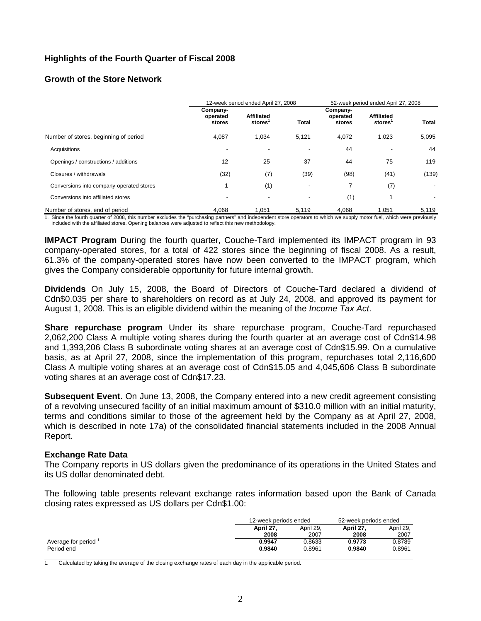# **Highlights of the Fourth Quarter of Fiscal 2008**

# **Growth of the Store Network**

|                                          |                                | 12-week period ended April 27, 2008 | 52-week period ended April 27, 2008 |                                |                             |       |
|------------------------------------------|--------------------------------|-------------------------------------|-------------------------------------|--------------------------------|-----------------------------|-------|
|                                          | Company-<br>operated<br>stores | <b>Affiliated</b><br>stores         | <b>Total</b>                        | Company-<br>operated<br>stores | <b>Affiliated</b><br>stores | Total |
| Number of stores, beginning of period    | 4,087                          | 1,034                               | 5,121                               | 4,072                          | 1,023                       | 5,095 |
| Acquisitions                             | $\overline{\phantom{a}}$       | $\overline{\phantom{a}}$            | -                                   | 44                             |                             | 44    |
| Openings / constructions / additions     | 12                             | 25                                  | 37                                  | 44                             | 75                          | 119   |
| Closures / withdrawals                   | (32)                           | (7)                                 | (39)                                | (98)                           | (41)                        | (139) |
| Conversions into company-operated stores |                                | (1)                                 | ٠                                   | 7                              | (7)                         |       |
| Conversions into affiliated stores       | $\overline{\phantom{a}}$       | $\overline{\phantom{a}}$            | $\overline{\phantom{a}}$            | (1)                            |                             |       |
| Number of stores, end of period          | 4,068                          | 1,051                               | 5,119                               | 4,068                          | 1,051                       | 5,119 |

1. Since the fourth quarter of 2008, this number excludes the "purchasing partners" and independent store operators to which we supply motor fuel, which were previously included with the affiliated stores. Opening balances were adjusted to reflect this new methodology.

**IMPACT Program** During the fourth quarter, Couche-Tard implemented its IMPACT program in 93 company-operated stores, for a total of 422 stores since the beginning of fiscal 2008. As a result, 61.3% of the company-operated stores have now been converted to the IMPACT program, which gives the Company considerable opportunity for future internal growth.

**Dividends** On July 15, 2008, the Board of Directors of Couche-Tard declared a dividend of Cdn\$0.035 per share to shareholders on record as at July 24, 2008, and approved its payment for August 1, 2008. This is an eligible dividend within the meaning of the *Income Tax Act*.

**Share repurchase program** Under its share repurchase program, Couche-Tard repurchased 2,062,200 Class A multiple voting shares during the fourth quarter at an average cost of Cdn\$14.98 and 1,393,206 Class B subordinate voting shares at an average cost of Cdn\$15.99. On a cumulative basis, as at April 27, 2008, since the implementation of this program, repurchases total 2,116,600 Class A multiple voting shares at an average cost of Cdn\$15.05 and 4,045,606 Class B subordinate voting shares at an average cost of Cdn\$17.23.

**Subsequent Event.** On June 13, 2008, the Company entered into a new credit agreement consisting of a revolving unsecured facility of an initial maximum amount of \$310.0 million with an initial maturity, terms and conditions similar to those of the agreement held by the Company as at April 27, 2008, which is described in note 17a) of the consolidated financial statements included in the 2008 Annual Report.

## **Exchange Rate Data**

The Company reports in US dollars given the predominance of its operations in the United States and its US dollar denominated debt.

The following table presents relevant exchange rates information based upon the Bank of Canada closing rates expressed as US dollars per Cdn\$1.00:

|                      | 12-week periods ended |           | 52-week periods ended |           |
|----------------------|-----------------------|-----------|-----------------------|-----------|
|                      | April 27.             | April 29. |                       | April 29, |
|                      | 2008                  | 2007      | 2008                  | 2007      |
| Average for period 1 | 0.9947                | 0.8633    | 0.9773                | 0.8789    |
| Period end           | 0.9840                | 0.8961    | 0.9840                | 0.8961    |

1. Calculated by taking the average of the closing exchange rates of each day in the applicable period.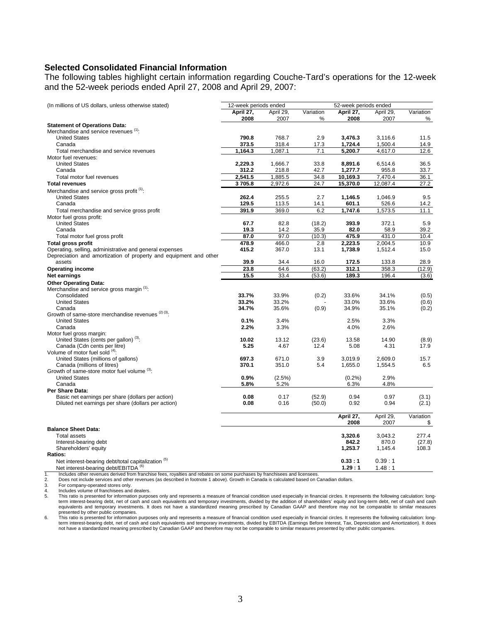### **Selected Consolidated Financial Information**

The following tables highlight certain information regarding Couche-Tard's operations for the 12-week and the 52-week periods ended April 27, 2008 and April 29, 2007:

| (In millions of US dollars, unless otherwise stated)                                                             | 12-week periods ended |                   |           | 52-week periods ended |                  |                |
|------------------------------------------------------------------------------------------------------------------|-----------------------|-------------------|-----------|-----------------------|------------------|----------------|
|                                                                                                                  | April 27,             | April 29,         | Variation | April 27,             | April 29,        | Variation      |
|                                                                                                                  | 2008                  | 2007              | %         | 2008                  | 2007             | ℅              |
| <b>Statement of Operations Data:</b>                                                                             |                       |                   |           |                       |                  |                |
| Merchandise and service revenues (1):                                                                            |                       |                   |           |                       |                  |                |
| <b>United States</b>                                                                                             | 790.8                 | 768.7             | 2.9       | 3.476.3               | 3.116.6          | 11.5           |
| Canada                                                                                                           | 373.5                 | 318.4             | 17.3      | 1,724.4               | 1,500.4          | 14.9           |
| Total merchandise and service revenues<br>Motor fuel revenues:                                                   | 1,164.3               | 1,087.1           | 7.1       | 5,200.7               | 4,617.0          | 12.6           |
| <b>United States</b>                                                                                             | 2,229.3               | 1,666.7           | 33.8      | 8.891.6               | 6,514.6          | 36.5           |
| Canada                                                                                                           | 312.2                 | 218.8             | 42.7      | 1,277.7               | 955.8            | 33.7           |
| Total motor fuel revenues                                                                                        | 2,541.5               | 1,885.5           | 34.8      | 10,169.3              | 7,470.4          | 36.1           |
| <b>Total revenues</b>                                                                                            | 3705.8                | 2,972.6           | 24.7      | 15,370.0              | 12,087.4         | 27.2           |
| Merchandise and service gross profit <sup>(1)</sup> :                                                            |                       |                   |           |                       |                  |                |
| <b>United States</b>                                                                                             | 262.4                 | 255.5             | 2.7       | 1,146.5               | 1,046.9          | 9.5            |
| Canada                                                                                                           | 129.5                 | 113.5             | 14.1      | 601.1                 | 526.6            | 14.2           |
| Total merchandise and service gross profit                                                                       | 391.9                 | 369.0             | 6.2       | 1,747.6               | 1,573.5          | 11.1           |
| Motor fuel gross profit:                                                                                         |                       |                   |           |                       |                  |                |
| <b>United States</b>                                                                                             | 67.7                  | 82.8              | (18.2)    | 393.9                 | 372.1            | 5.9            |
| Canada                                                                                                           | 19.3                  | 14.2              | 35.9      | 82.0                  | 58.9             | 39.2           |
| Total motor fuel gross profit                                                                                    | 87.0                  | 97.0              | (10.3)    | 475.9                 | 431.0            | 10.4           |
| <b>Total gross profit</b>                                                                                        | 478.9                 | 466.0             | 2.8       | 2,223.5               | 2,004.5          | 10.9           |
| Operating, selling, administrative and general expenses                                                          | 415.2                 | 367.0             | 13.1      | 1,738.9               | 1,512.4          | 15.0           |
| Depreciation and amortization of property and equipment and other                                                |                       |                   |           |                       |                  |                |
| assets                                                                                                           | 39.9                  | 34.4              | 16.0      | 172.5                 | 133.8            | 28.9           |
| <b>Operating income</b>                                                                                          | 23.8                  | 64.6              | (63.2)    | 312.1                 | 358.3            | (12.9)         |
| Net earnings                                                                                                     | 15.5                  | 33.4              | (53.6)    | 189.3                 | 196.4            | (3.6)          |
| <b>Other Operating Data:</b>                                                                                     |                       |                   |           |                       |                  |                |
| Merchandise and service gross margin (1):                                                                        |                       |                   |           |                       |                  |                |
| Consolidated                                                                                                     | 33.7%                 | 33.9%             | (0.2)     | 33.6%                 | 34.1%            | (0.5)          |
| <b>United States</b><br>Canada                                                                                   | 33.2%<br>34.7%        | 33.2%<br>35.6%    | (0.9)     | 33.0%<br>34.9%        | 33.6%<br>35.1%   | (0.6)<br>(0.2) |
| Growth of same-store merchandise revenues (2) (3).                                                               |                       |                   |           |                       |                  |                |
| <b>United States</b>                                                                                             | 0.1%                  | 3.4%              |           | 2.5%                  | 3.3%             |                |
| Canada                                                                                                           | 2.2%                  | 3.3%              |           | 4.0%                  | 2.6%             |                |
| Motor fuel gross margin:                                                                                         |                       |                   |           |                       |                  |                |
| United States (cents per gallon) <sup>(3)</sup> :                                                                | 10.02                 | 13.12             | (23.6)    | 13.58                 | 14.90            | (8.9)          |
| Canada (Cdn cents per litre)                                                                                     | 5.25                  | 4.67              | 12.4      | 5.08                  | 4.31             | 17.9           |
| Volume of motor fuel sold (4):                                                                                   |                       |                   |           |                       |                  |                |
| United States (millions of gallons)                                                                              | 697.3                 | 671.0             | 3.9       | 3,019.9               | 2,609.0          | 15.7           |
| Canada (millions of litres)                                                                                      | 370.1                 | 351.0             | 5.4       | 1,655.0               | 1,554.5          | 6.5            |
| Growth of same-store motor fuel volume (3):                                                                      |                       |                   |           |                       |                  |                |
| <b>United States</b><br>Canada                                                                                   | 0.9%<br>5.8%          | $(2.5\%)$<br>5.2% |           | (0.2%<br>6.3%         | 2.9%<br>4.8%     |                |
| Per Share Data:                                                                                                  |                       |                   |           |                       |                  |                |
| Basic net earnings per share (dollars per action)                                                                | 0.08                  | 0.17              | (52.9)    | 0.94                  | 0.97             | (3.1)          |
| Diluted net earnings per share (dollars per action)                                                              | 0.08                  | 0.16              | (50.0)    | 0.92                  | 0.94             | (2.1)          |
|                                                                                                                  |                       |                   |           |                       |                  |                |
|                                                                                                                  |                       |                   |           | April 27,             | April 29,        | Variation      |
|                                                                                                                  |                       |                   |           | 2008                  | 2007             | \$             |
| <b>Balance Sheet Data:</b>                                                                                       |                       |                   |           |                       |                  |                |
| <b>Total assets</b>                                                                                              |                       |                   |           | 3,320.6               | 3,043.2          | 277.4          |
| Interest-bearing debt                                                                                            |                       |                   |           | 842.2                 | 870.0            | (27.8)         |
| Shareholders' equity                                                                                             |                       |                   |           | 1,253.7               | 1,145.4          | 108.3          |
| Ratios:                                                                                                          |                       |                   |           | 0.33:1                |                  |                |
| Net interest-bearing debt/total capitalization <sup>(5)</sup><br>Net interest-bearing debt/EBITDA <sup>(6)</sup> |                       |                   |           | 1.29:1                | 0.39:1<br>1.48:1 |                |
|                                                                                                                  |                       |                   |           |                       |                  |                |

1. Includes other revenues derived from franchise fees, royalties and rebates on some purchases by franchisees and licensees.<br>2. Does not include services and other revenues (as described in footnote 1 above). Growth in Ca

2. Does not include services and other revenues (as described in footnote 1 above). Growth in Canada is calculated based on Canadian dollars.

3. For company-operated stores only.<br>4. Includes volume of franchisees and

4. Includes volume of franchisees and dealers.<br>5. This ratio is presented for information purpo 5. This ratio is presented for information purposes only and represents a measure of financial condition used especially in financial circles. It represents the following calculation: long-<br>term interest-bearing debt, net equivalents and temporary investments. It does not have a standardized meaning prescribed by Canadian GAAP and therefore may not be comparable to similar measures

presented by other public companies.<br>6. This ratio is presented for information purposes only and represents a measure of financial condition used especially in financial circles. It represents the following calculation: l term interest-bearing debt, net of cash and cash equivalents and temporary investments, divided by EBITDA (Earnings Before Interest, Tax, Depreciation and Amortization). It does<br>not have a standardized meaning prescribed b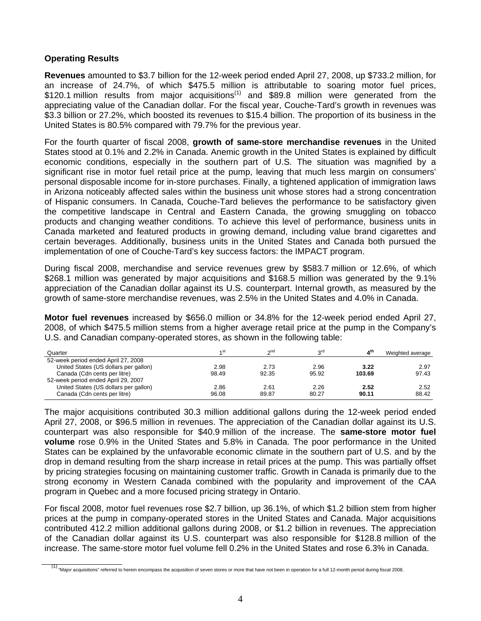# **Operating Results**

**Revenues** amounted to \$3.7 billion for the 12-week period ended April 27, 2008, up \$733.2 million, for an increase of 24.7%, of which \$475.5 million is attributable to soaring motor fuel prices,  $$120.1$  million results from major acquisitions<sup>(1)</sup> and \$89.8 million were generated from the appreciating value of the Canadian dollar. For the fiscal year, Couche-Tard's growth in revenues was \$3.3 billion or 27.2%, which boosted its revenues to \$15.4 billion. The proportion of its business in the United States is 80.5% compared with 79.7% for the previous year.

For the fourth quarter of fiscal 2008, **growth of same-store merchandise revenues** in the United States stood at 0.1% and 2.2% in Canada. Anemic growth in the United States is explained by difficult economic conditions, especially in the southern part of U.S. The situation was magnified by a significant rise in motor fuel retail price at the pump, leaving that much less margin on consumers' personal disposable income for in-store purchases. Finally, a tightened application of immigration laws in Arizona noticeably affected sales within the business unit whose stores had a strong concentration of Hispanic consumers. In Canada, Couche-Tard believes the performance to be satisfactory given the competitive landscape in Central and Eastern Canada, the growing smuggling on tobacco products and changing weather conditions. To achieve this level of performance, business units in Canada marketed and featured products in growing demand, including value brand cigarettes and certain beverages. Additionally, business units in the United States and Canada both pursued the implementation of one of Couche-Tard's key success factors: the IMPACT program.

During fiscal 2008, merchandise and service revenues grew by \$583.7 million or 12.6%, of which \$268.1 million was generated by major acquisitions and \$168.5 million was generated by the 9.1% appreciation of the Canadian dollar against its U.S. counterpart. Internal growth, as measured by the growth of same-store merchandise revenues, was 2.5% in the United States and 4.0% in Canada.

**Motor fuel revenues** increased by \$656.0 million or 34.8% for the 12-week period ended April 27, 2008, of which \$475.5 million stems from a higher average retail price at the pump in the Company's U.S. and Canadian company-operated stores, as shown in the following table:

| Quarter                               | st م  | $\sim$ nd | ∩∩    | 4 <sup>th</sup> | Weighted average |
|---------------------------------------|-------|-----------|-------|-----------------|------------------|
| 52-week period ended April 27, 2008   |       |           |       |                 |                  |
| United States (US dollars per gallon) | 2.98  | 2.73      | 2.96  | 3.22            | 2.97             |
| Canada (Cdn cents per litre)          | 98.49 | 92.35     | 95.92 | 103.69          | 97.43            |
| 52-week period ended April 29, 2007   |       |           |       |                 |                  |
| United States (US dollars per gallon) | 2.86  | 2.61      | 2.26  | 2.52            | 2.52             |
| Canada (Cdn cents per litre)          | 96.08 | 89.87     | 80.27 | 90.11           | 88.42            |

The major acquisitions contributed 30.3 million additional gallons during the 12-week period ended April 27, 2008, or \$96.5 million in revenues. The appreciation of the Canadian dollar against its U.S. counterpart was also responsible for \$40.9 million of the increase. The **same-store motor fuel volume** rose 0.9% in the United States and 5.8% in Canada. The poor performance in the United States can be explained by the unfavorable economic climate in the southern part of U.S. and by the drop in demand resulting from the sharp increase in retail prices at the pump. This was partially offset by pricing strategies focusing on maintaining customer traffic. Growth in Canada is primarily due to the strong economy in Western Canada combined with the popularity and improvement of the CAA program in Quebec and a more focused pricing strategy in Ontario.

For fiscal 2008, motor fuel revenues rose \$2.7 billion, up 36.1%, of which \$1.2 billion stem from higher prices at the pump in company-operated stores in the United States and Canada. Major acquisitions contributed 412.2 million additional gallons during 2008, or \$1.2 billion in revenues. The appreciation of the Canadian dollar against its U.S. counterpart was also responsible for \$128.8 million of the increase. The same-store motor fuel volume fell 0.2% in the United States and rose 6.3% in Canada.

<sup>(1) &</sup>quot;Major acquisitions" referred to herein encompass the acquisition of seven stores or more that have not been in operation for a full 12-month period during fiscal 2008.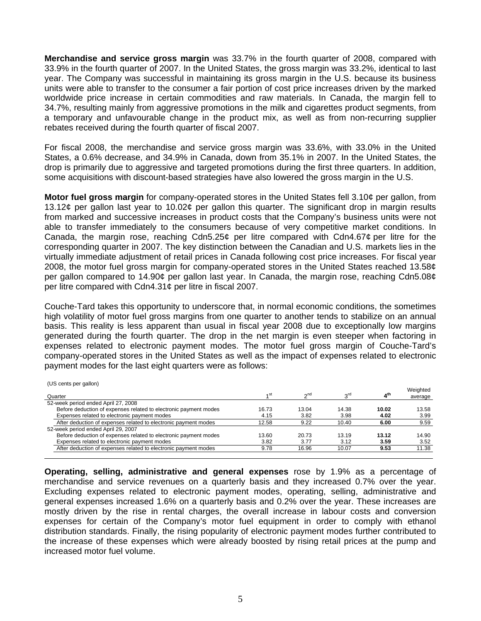**Merchandise and service gross margin** was 33.7% in the fourth quarter of 2008, compared with 33.9% in the fourth quarter of 2007. In the United States, the gross margin was 33.2%, identical to last year. The Company was successful in maintaining its gross margin in the U.S. because its business units were able to transfer to the consumer a fair portion of cost price increases driven by the marked worldwide price increase in certain commodities and raw materials. In Canada, the margin fell to 34.7%, resulting mainly from aggressive promotions in the milk and cigarettes product segments, from a temporary and unfavourable change in the product mix, as well as from non-recurring supplier rebates received during the fourth quarter of fiscal 2007.

For fiscal 2008, the merchandise and service gross margin was 33.6%, with 33.0% in the United States, a 0.6% decrease, and 34.9% in Canada, down from 35.1% in 2007. In the United States, the drop is primarily due to aggressive and targeted promotions during the first three quarters. In addition, some acquisitions with discount-based strategies have also lowered the gross margin in the U.S.

**Motor fuel gross margin** for company-operated stores in the United States fell 3.10¢ per gallon, from 13.12¢ per gallon last year to 10.02¢ per gallon this quarter. The significant drop in margin results from marked and successive increases in product costs that the Company's business units were not able to transfer immediately to the consumers because of very competitive market conditions. In Canada, the margin rose, reaching Cdn5.25¢ per litre compared with Cdn4.67¢ per litre for the corresponding quarter in 2007. The key distinction between the Canadian and U.S. markets lies in the virtually immediate adjustment of retail prices in Canada following cost price increases. For fiscal year 2008, the motor fuel gross margin for company-operated stores in the United States reached 13.58¢ per gallon compared to 14.90¢ per gallon last year. In Canada, the margin rose, reaching Cdn5.08¢ per litre compared with Cdn4.31¢ per litre in fiscal 2007.

Couche-Tard takes this opportunity to underscore that, in normal economic conditions, the sometimes high volatility of motor fuel gross margins from one quarter to another tends to stabilize on an annual basis. This reality is less apparent than usual in fiscal year 2008 due to exceptionally low margins generated during the fourth quarter. The drop in the net margin is even steeper when factoring in expenses related to electronic payment modes. The motor fuel gross margin of Couche-Tard's company-operated stores in the United States as well as the impact of expenses related to electronic payment modes for the last eight quarters were as follows:

(US cents per gallon)

| Quarter                                                          | ⊿st   | $\gamma$ <sup>nd</sup> | rdي   | 4 <sup>th</sup> | Weighted<br>average |
|------------------------------------------------------------------|-------|------------------------|-------|-----------------|---------------------|
| 52-week period ended April 27, 2008                              |       |                        |       |                 |                     |
| Before deduction of expenses related to electronic payment modes | 16.73 | 13.04                  | 14.38 | 10.02           | 13.58               |
| Expenses related to electronic payment modes                     | 4.15  | 3.82                   | 3.98  | 4.02            | 3.99                |
| After deduction of expenses related to electronic payment modes  | 12.58 | 9.22                   | 10.40 | 6.00            | 9.59                |
| 52-week period ended April 29, 2007                              |       |                        |       |                 |                     |
| Before deduction of expenses related to electronic payment modes | 13.60 | 20.73                  | 13.19 | 13.12           | 14.90               |
| Expenses related to electronic payment modes                     | 3.82  | 3.77                   | 3.12  | 3.59            | 3.52                |
| After deduction of expenses related to electronic payment modes  | 9.78  | 16.96                  | 10.07 | 9.53            | 11.38               |
|                                                                  |       |                        |       |                 |                     |

**Operating, selling, administrative and general expenses** rose by 1.9% as a percentage of merchandise and service revenues on a quarterly basis and they increased 0.7% over the year. Excluding expenses related to electronic payment modes, operating, selling, administrative and general expenses increased 1.6% on a quarterly basis and 0.2% over the year. These increases are mostly driven by the rise in rental charges, the overall increase in labour costs and conversion expenses for certain of the Company's motor fuel equipment in order to comply with ethanol distribution standards. Finally, the rising popularity of electronic payment modes further contributed to the increase of these expenses which were already boosted by rising retail prices at the pump and increased motor fuel volume.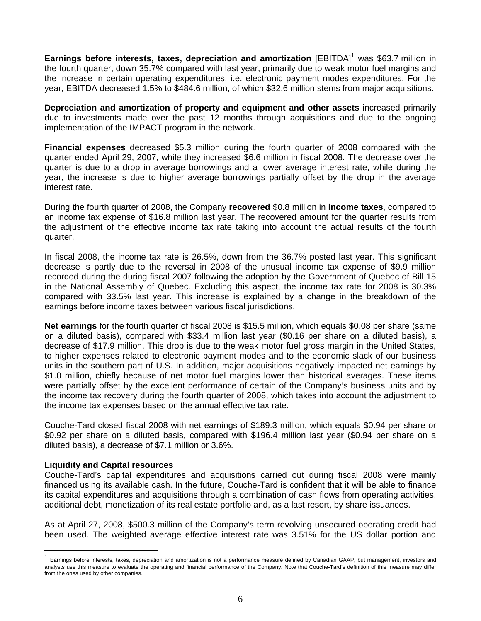Earnings before interests, taxes, depreciation and amortization [EBITDA]<sup>1</sup> was \$63.7 million in the fourth quarter, down 35.7% compared with last year, primarily due to weak motor fuel margins and the increase in certain operating expenditures, i.e. electronic payment modes expenditures. For the year, EBITDA decreased 1.5% to \$484.6 million, of which \$32.6 million stems from major acquisitions.

**Depreciation and amortization of property and equipment and other assets** increased primarily due to investments made over the past 12 months through acquisitions and due to the ongoing implementation of the IMPACT program in the network.

**Financial expenses** decreased \$5.3 million during the fourth quarter of 2008 compared with the quarter ended April 29, 2007, while they increased \$6.6 million in fiscal 2008. The decrease over the quarter is due to a drop in average borrowings and a lower average interest rate, while during the year, the increase is due to higher average borrowings partially offset by the drop in the average interest rate.

During the fourth quarter of 2008, the Company **recovered** \$0.8 million in **income taxes**, compared to an income tax expense of \$16.8 million last year. The recovered amount for the quarter results from the adjustment of the effective income tax rate taking into account the actual results of the fourth quarter.

In fiscal 2008, the income tax rate is 26.5%, down from the 36.7% posted last year. This significant decrease is partly due to the reversal in 2008 of the unusual income tax expense of \$9.9 million recorded during the during fiscal 2007 following the adoption by the Government of Quebec of Bill 15 in the National Assembly of Quebec. Excluding this aspect, the income tax rate for 2008 is 30.3% compared with 33.5% last year. This increase is explained by a change in the breakdown of the earnings before income taxes between various fiscal jurisdictions.

**Net earnings** for the fourth quarter of fiscal 2008 is \$15.5 million, which equals \$0.08 per share (same on a diluted basis), compared with \$33.4 million last year (\$0.16 per share on a diluted basis), a decrease of \$17.9 million. This drop is due to the weak motor fuel gross margin in the United States, to higher expenses related to electronic payment modes and to the economic slack of our business units in the southern part of U.S. In addition, major acquisitions negatively impacted net earnings by \$1.0 million, chiefly because of net motor fuel margins lower than historical averages. These items were partially offset by the excellent performance of certain of the Company's business units and by the income tax recovery during the fourth quarter of 2008, which takes into account the adjustment to the income tax expenses based on the annual effective tax rate.

Couche-Tard closed fiscal 2008 with net earnings of \$189.3 million, which equals \$0.94 per share or \$0.92 per share on a diluted basis, compared with \$196.4 million last year (\$0.94 per share on a diluted basis), a decrease of \$7.1 million or 3.6%.

# **Liquidity and Capital resources**

 $\overline{a}$ 

Couche-Tard's capital expenditures and acquisitions carried out during fiscal 2008 were mainly financed using its available cash. In the future, Couche-Tard is confident that it will be able to finance its capital expenditures and acquisitions through a combination of cash flows from operating activities, additional debt, monetization of its real estate portfolio and, as a last resort, by share issuances.

As at April 27, 2008, \$500.3 million of the Company's term revolving unsecured operating credit had been used. The weighted average effective interest rate was 3.51% for the US dollar portion and

<sup>1</sup> Earnings before interests, taxes, depreciation and amortization is not a performance measure defined by Canadian GAAP, but management, investors and analysts use this measure to evaluate the operating and financial performance of the Company. Note that Couche-Tard's definition of this measure may differ from the ones used by other companies.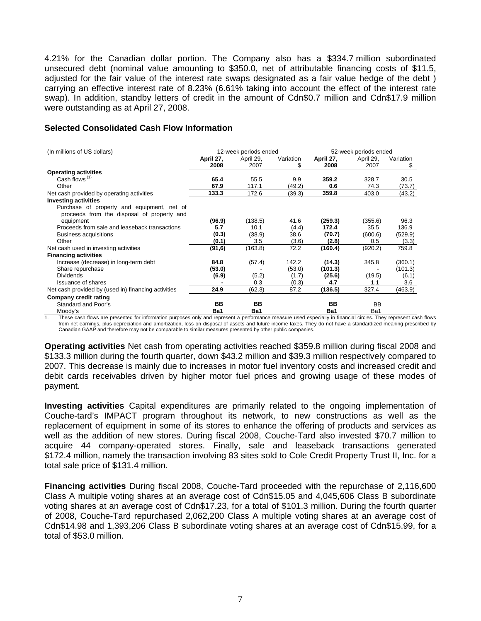4.21% for the Canadian dollar portion. The Company also has a \$334.7 million subordinated unsecured debt (nominal value amounting to \$350.0, net of attributable financing costs of \$11.5, adjusted for the fair value of the interest rate swaps designated as a fair value hedge of the debt ) carrying an effective interest rate of 8.23% (6.61% taking into account the effect of the interest rate swap). In addition, standby letters of credit in the amount of Cdn\$0.7 million and Cdn\$17.9 million were outstanding as at April 27, 2008.

# **Selected Consolidated Cash Flow Information**

| (In millions of US dollars)                                                              | 12-week periods ended |           |           | 52-week periods ended |           |           |
|------------------------------------------------------------------------------------------|-----------------------|-----------|-----------|-----------------------|-----------|-----------|
|                                                                                          | April 27,             | April 29, | Variation | April 27,             | April 29, | Variation |
|                                                                                          | 2008                  | 2007      | \$        | 2008                  | 2007      | S.        |
| <b>Operating activities</b>                                                              |                       |           |           |                       |           |           |
| Cash flows <sup>(1)</sup>                                                                | 65.4                  | 55.5      | 9.9       | 359.2                 | 328.7     | 30.5      |
| Other                                                                                    | 67.9                  | 117.1     | (49.2)    | 0.6                   | 74.3      | (73.7)    |
| Net cash provided by operating activities                                                | 133.3                 | 172.6     | (39.3)    | 359.8                 | 403.0     | (43.2)    |
| <b>Investing activities</b>                                                              |                       |           |           |                       |           |           |
| Purchase of property and equipment, net of<br>proceeds from the disposal of property and |                       |           |           |                       |           |           |
| equipment                                                                                | (96.9)                | (138.5)   | 41.6      | (259.3)               | (355.6)   | 96.3      |
| Proceeds from sale and leaseback transactions                                            | 5.7                   | 10.1      | (4.4)     | 172.4                 | 35.5      | 136.9     |
| Business acquisitions                                                                    | (0.3)                 | (38.9)    | 38.6      | (70.7)                | (600.6)   | (529.9)   |
| Other                                                                                    | (0.1)                 | 3.5       | (3.6)     | (2.8)                 | 0.5       | (3.3)     |
| Net cash used in investing activities                                                    | (91,6)                | (163.8)   | 72.2      | (160.4)               | (920.2)   | 759.8     |
| <b>Financing activities</b>                                                              |                       |           |           |                       |           |           |
| Increase (decrease) in long-term debt                                                    | 84.8                  | (57.4)    | 142.2     | (14.3)                | 345.8     | (360.1)   |
| Share repurchase                                                                         | (53.0)                |           | (53.0)    | (101.3)               |           | (101.3)   |
| <b>Dividends</b>                                                                         | (6.9)                 | (5.2)     | (1.7)     | (25.6)                | (19.5)    | (6.1)     |
| <b>Issuance of shares</b>                                                                |                       | 0.3       | (0.3)     | 4.7                   | 1.1       | 3.6       |
| Net cash provided by (used in) financing activities                                      | 24.9                  | (62.3)    | 87.2      | (136.5)               | 327.4     | (463.9)   |
| Company credit rating                                                                    |                       |           |           |                       |           |           |
| Standard and Poor's                                                                      | BB                    | BB        |           | BB                    | <b>BB</b> |           |
| Moody's                                                                                  | Ba1                   | Ba1       |           | Ba1                   | Ba1       |           |

1. These cash flows are presented for information purposes only and represent a performance measure used especially in financial circles. They represent cash flows from net earnings, plus depreciation and amortization, loss on disposal of assets and future income taxes. They do not have a standardized meaning prescribed by Canadian GAAP and therefore may not be comparable to similar measures presented by other public companies.

**Operating activities** Net cash from operating activities reached \$359.8 million during fiscal 2008 and \$133.3 million during the fourth quarter, down \$43.2 million and \$39.3 million respectively compared to 2007. This decrease is mainly due to increases in motor fuel inventory costs and increased credit and debit cards receivables driven by higher motor fuel prices and growing usage of these modes of payment.

**Investing activities** Capital expenditures are primarily related to the ongoing implementation of Couche-tard's IMPACT program throughout its network, to new constructions as well as the replacement of equipment in some of its stores to enhance the offering of products and services as well as the addition of new stores. During fiscal 2008, Couche-Tard also invested \$70.7 million to acquire 44 company-operated stores. Finally, sale and leaseback transactions generated \$172.4 million, namely the transaction involving 83 sites sold to Cole Credit Property Trust II, Inc. for a total sale price of \$131.4 million.

**Financing activities** During fiscal 2008, Couche-Tard proceeded with the repurchase of 2,116,600 Class A multiple voting shares at an average cost of Cdn\$15.05 and 4,045,606 Class B subordinate voting shares at an average cost of Cdn\$17.23, for a total of \$101.3 million. During the fourth quarter of 2008, Couche-Tard repurchased 2,062,200 Class A multiple voting shares at an average cost of Cdn\$14.98 and 1,393,206 Class B subordinate voting shares at an average cost of Cdn\$15.99, for a total of \$53.0 million.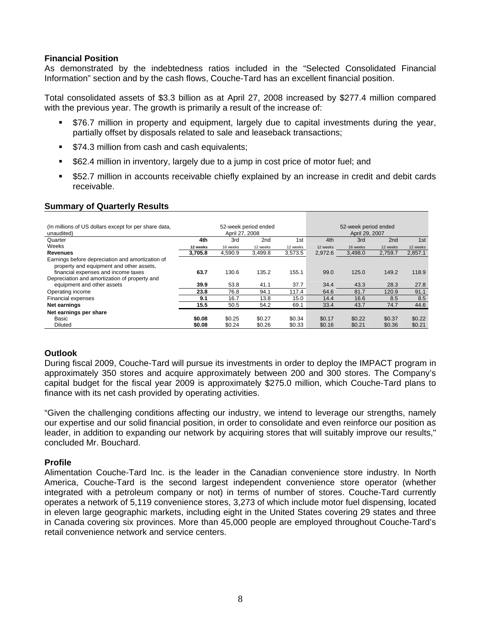# **Financial Position**

As demonstrated by the indebtedness ratios included in the "Selected Consolidated Financial Information" section and by the cash flows, Couche-Tard has an excellent financial position.

Total consolidated assets of \$3.3 billion as at April 27, 2008 increased by \$277.4 million compared with the previous year. The growth is primarily a result of the increase of:

- \$76.7 million in property and equipment, largely due to capital investments during the year, partially offset by disposals related to sale and leaseback transactions;
- **574.3 million from cash and cash equivalents;**
- \$62.4 million in inventory, largely due to a jump in cost price of motor fuel; and
- \$52.7 million in accounts receivable chiefly explained by an increase in credit and debit cards receivable.

# **Summary of Quarterly Results**

| (In millions of US dollars except for per share data,<br>unaudited)                                                                 | 52-week period ended<br>April 27, 2008 |          |                 | 52-week period ended<br>April 29, 2007 |          |          |                 |          |
|-------------------------------------------------------------------------------------------------------------------------------------|----------------------------------------|----------|-----------------|----------------------------------------|----------|----------|-----------------|----------|
| Quarter                                                                                                                             | 4th                                    | 3rd      | 2 <sub>nd</sub> | 1 <sub>st</sub>                        | 4th      | 3rd      | 2 <sub>nd</sub> | 1st      |
| Weeks                                                                                                                               | 12 weeks                               | 16 weeks | 12 weeks        | 12 weeks                               | 12 weeks | 16 weeks | 12 weeks        | 12 weeks |
| <b>Revenues</b>                                                                                                                     | 3,705.8                                | 4.590.9  | 3,499.8         | 3.573.5                                | 2.972.6  | 3,498.0  | 2.759.7         | 2,857.1  |
| Earnings before depreciation and amortization of<br>property and equipment and other assets,<br>financial expenses and income taxes | 63.7                                   | 130.6    | 135.2           | 155.1                                  | 99.0     | 125.0    | 149.2           | 118.9    |
| Depreciation and amortization of property and                                                                                       |                                        |          |                 |                                        |          |          |                 |          |
| equipment and other assets                                                                                                          | 39.9                                   | 53.8     | 41.1            | 37.7                                   | 34.4     | 43.3     | 28.3            | 27.8     |
| Operating income                                                                                                                    | 23.8                                   | 76.8     | 94.1            | 117.4                                  | 64.6     | 81.7     | 120.9           | 91.1     |
| <b>Financial expenses</b>                                                                                                           | 9.1                                    | 16.7     | 13.8            | 15.0                                   | 14.4     | 16.6     | 8.5             | 8.5      |
| <b>Net earnings</b>                                                                                                                 | 15.5                                   | 50.5     | 54.2            | 69.1                                   | 33.4     | 43.7     | 74.7            | 44.6     |
| Net earnings per share                                                                                                              |                                        |          |                 |                                        |          |          |                 |          |
| Basic                                                                                                                               | \$0.08                                 | \$0.25   | \$0.27          | \$0.34                                 | \$0.17   | \$0.22   | \$0.37          | \$0.22   |
| <b>Diluted</b>                                                                                                                      | \$0.08                                 | \$0.24   | \$0.26          | \$0.33                                 | \$0.16   | \$0.21   | \$0.36          | \$0.21   |

# **Outlook**

During fiscal 2009, Couche-Tard will pursue its investments in order to deploy the IMPACT program in approximately 350 stores and acquire approximately between 200 and 300 stores. The Company's capital budget for the fiscal year 2009 is approximately \$275.0 million, which Couche-Tard plans to finance with its net cash provided by operating activities.

"Given the challenging conditions affecting our industry, we intend to leverage our strengths, namely our expertise and our solid financial position, in order to consolidate and even reinforce our position as leader, in addition to expanding our network by acquiring stores that will suitably improve our results," concluded Mr. Bouchard.

## **Profile**

Alimentation Couche-Tard Inc. is the leader in the Canadian convenience store industry. In North America, Couche-Tard is the second largest independent convenience store operator (whether integrated with a petroleum company or not) in terms of number of stores. Couche-Tard currently operates a network of 5,119 convenience stores, 3,273 of which include motor fuel dispensing, located in eleven large geographic markets, including eight in the United States covering 29 states and three in Canada covering six provinces. More than 45,000 people are employed throughout Couche-Tard's retail convenience network and service centers.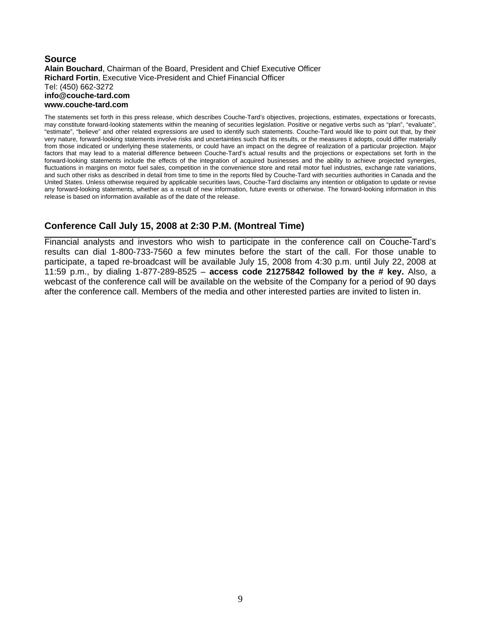### **Source Alain Bouchard**, Chairman of the Board, President and Chief Executive Officer **Richard Fortin**, Executive Vice-President and Chief Financial Officer Tel: (450) 662-3272 **info@couche-tard.com www.couche-tard.com**

The statements set forth in this press release, which describes Couche-Tard's objectives, projections, estimates, expectations or forecasts, may constitute forward-looking statements within the meaning of securities legislation. Positive or negative verbs such as "plan", "evaluate", "estimate", "believe" and other related expressions are used to identify such statements. Couche-Tard would like to point out that, by their very nature, forward-looking statements involve risks and uncertainties such that its results, or the measures it adopts, could differ materially from those indicated or underlying these statements, or could have an impact on the degree of realization of a particular projection. Major factors that may lead to a material difference between Couche-Tard's actual results and the projections or expectations set forth in the forward-looking statements include the effects of the integration of acquired businesses and the ability to achieve projected synergies, fluctuations in margins on motor fuel sales, competition in the convenience store and retail motor fuel industries, exchange rate variations, and such other risks as described in detail from time to time in the reports filed by Couche-Tard with securities authorities in Canada and the United States. Unless otherwise required by applicable securities laws, Couche-Tard disclaims any intention or obligation to update or revise any forward-looking statements, whether as a result of new information, future events or otherwise. The forward-looking information in this release is based on information available as of the date of the release.

# **Conference Call July 15, 2008 at 2:30 P.M. (Montreal Time)**

Financial analysts and investors who wish to participate in the conference call on Couche-Tard's results can dial 1-800-733-7560 a few minutes before the start of the call. For those unable to participate, a taped re-broadcast will be available July 15, 2008 from 4:30 p.m. until July 22, 2008 at 11:59 p.m., by dialing 1-877-289-8525 – **access code 21275842 followed by the # key.** Also, a webcast of the conference call will be available on the website of the Company for a period of 90 days after the conference call. Members of the media and other interested parties are invited to listen in.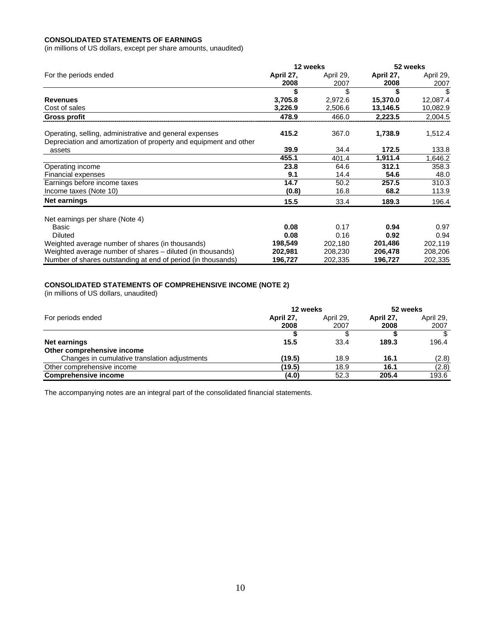### **CONSOLIDATED STATEMENTS OF EARNINGS**

(in millions of US dollars, except per share amounts, unaudited)

|                                                                                                                              | 12 weeks  |           | 52 weeks  |           |  |
|------------------------------------------------------------------------------------------------------------------------------|-----------|-----------|-----------|-----------|--|
| For the periods ended                                                                                                        | April 27, | April 29, | April 27, | April 29, |  |
|                                                                                                                              | 2008      | 2007      | 2008      | 2007      |  |
|                                                                                                                              |           | \$        |           | \$        |  |
| <b>Revenues</b>                                                                                                              | 3,705.8   | 2,972.6   | 15,370.0  | 12,087.4  |  |
| Cost of sales                                                                                                                | 3,226.9   | 2,506.6   | 13,146.5  | 10,082.9  |  |
| Gross profit                                                                                                                 | 478.9     | 466.0     | 2,223.5   | 2,004.5   |  |
| Operating, selling, administrative and general expenses<br>Depreciation and amortization of property and equipment and other | 415.2     | 367.0     | 1,738.9   | 1,512.4   |  |
| assets                                                                                                                       | 39.9      | 34.4      | 172.5     | 133.8     |  |
|                                                                                                                              | 455.1     | 401.4     | 1,911.4   | 1,646.2   |  |
| Operating income                                                                                                             | 23.8      | 64.6      | 312.1     | 358.3     |  |
| Financial expenses                                                                                                           | 9.1       | 14.4      | 54.6      | 48.0      |  |
| Earnings before income taxes                                                                                                 | 14.7      | 50.2      | 257.5     | 310.3     |  |
| Income taxes (Note 10)                                                                                                       | (0.8)     | 16.8      | 68.2      | 113.9     |  |
| Net earnings                                                                                                                 | 15.5      | 33.4      | 189.3     | 196.4     |  |
| Net earnings per share (Note 4)                                                                                              |           |           |           |           |  |
| Basic                                                                                                                        | 0.08      | 0.17      | 0.94      | 0.97      |  |
| Diluted                                                                                                                      | 0.08      | 0.16      | 0.92      | 0.94      |  |
| Weighted average number of shares (in thousands)                                                                             | 198,549   | 202,180   | 201,486   | 202,119   |  |
| Weighted average number of shares - diluted (in thousands)                                                                   | 202,981   | 208,230   | 206,478   | 208,206   |  |
| Number of shares outstanding at end of period (in thousands)                                                                 | 196,727   | 202,335   | 196,727   | 202,335   |  |

#### **CONSOLIDATED STATEMENTS OF COMPREHENSIVE INCOME (NOTE 2)**

(in millions of US dollars, unaudited)

|                                               | 12 weeks  | 52 weeks  |           |           |
|-----------------------------------------------|-----------|-----------|-----------|-----------|
| For periods ended                             | April 27, | April 29. | April 27, | April 29, |
|                                               | 2008      | 2007      | 2008      | 2007      |
|                                               |           |           |           | \$        |
| Net earnings                                  | 15.5      | 33.4      | 189.3     | 196.4     |
| Other comprehensive income                    |           |           |           |           |
| Changes in cumulative translation adjustments | (19.5)    | 18.9      | 16.1      | (2.8)     |
| Other comprehensive income                    | (19.5)    | 18.9      | 16.1      | (2.8)     |
| <b>Comprehensive income</b>                   | (4.0)     | 52.3      | 205.4     | 193.6     |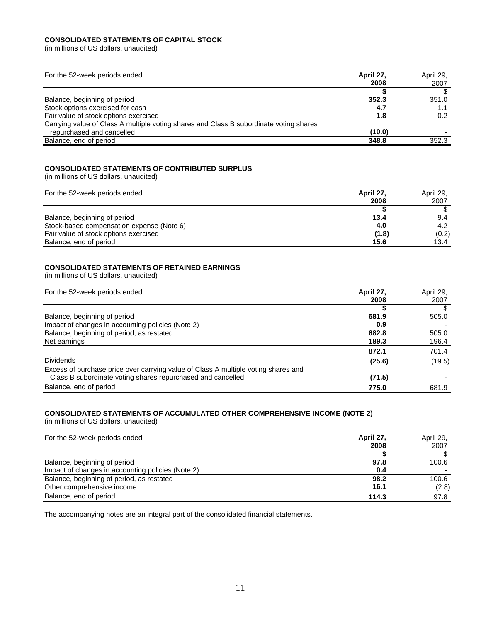### **CONSOLIDATED STATEMENTS OF CAPITAL STOCK**

(in millions of US dollars, unaudited)

| For the 52-week periods ended                                                          | April 27.<br>2008 | April 29,<br>2007 |
|----------------------------------------------------------------------------------------|-------------------|-------------------|
|                                                                                        |                   |                   |
| Balance, beginning of period                                                           | 352.3             | 351.0             |
| Stock options exercised for cash                                                       | 4.7               | 1.1               |
| Fair value of stock options exercised                                                  | 1.8               | 0.2               |
| Carrying value of Class A multiple voting shares and Class B subordinate voting shares |                   |                   |
| repurchased and cancelled                                                              | (10.0)            |                   |
| Balance, end of period                                                                 | 348.8             | 352.3             |

# **CONSOLIDATED STATEMENTS OF CONTRIBUTED SURPLUS**

(in millions of US dollars, unaudited)

| For the 52-week periods ended             | April 27 | April 29, |
|-------------------------------------------|----------|-----------|
|                                           | 2008     | 2007      |
|                                           |          |           |
| Balance, beginning of period              | 13.4     | 9.4       |
| Stock-based compensation expense (Note 6) | 4.0      | 4.2       |
| Fair value of stock options exercised     | (1.8)    | (0.2)     |
| Balance, end of period                    | 15.6     | 13.4      |

### **CONSOLIDATED STATEMENTS OF RETAINED EARNINGS**

(in millions of US dollars, unaudited)

| For the 52-week periods ended                                                      | April 27, | April 29, |
|------------------------------------------------------------------------------------|-----------|-----------|
|                                                                                    | 2008      | 2007      |
|                                                                                    |           |           |
| Balance, beginning of period                                                       | 681.9     | 505.0     |
| Impact of changes in accounting policies (Note 2)                                  | 0.9       |           |
| Balance, beginning of period, as restated                                          | 682.8     | 505.0     |
| Net earnings                                                                       | 189.3     | 196.4     |
|                                                                                    | 872.1     | 701.4     |
| <b>Dividends</b>                                                                   | (25.6)    | (19.5)    |
| Excess of purchase price over carrying value of Class A multiple voting shares and |           |           |
| Class B subordinate voting shares repurchased and cancelled                        | (71.5)    |           |
| Balance, end of period                                                             | 775.0     | 681.9     |

## **CONSOLIDATED STATEMENTS OF ACCUMULATED OTHER COMPREHENSIVE INCOME (NOTE 2)**

(in millions of US dollars, unaudited)

| For the 52-week periods ended                     | April 27. | April 29, |
|---------------------------------------------------|-----------|-----------|
|                                                   | 2008      | 2007      |
|                                                   |           |           |
| Balance, beginning of period                      | 97.8      | 100.6     |
| Impact of changes in accounting policies (Note 2) | 0.4       |           |
| Balance, beginning of period, as restated         | 98.2      | 100.6     |
| Other comprehensive income                        | 16.1      | (2.8)     |
| Balance, end of period                            | 114.3     | 97.8      |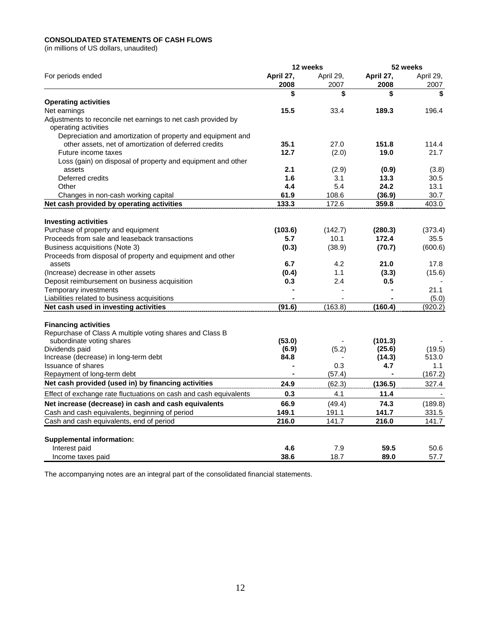## **CONSOLIDATED STATEMENTS OF CASH FLOWS**

(in millions of US dollars, unaudited)

| For periods ended<br>April 27,<br>April 29,<br>April 27,<br>April 29,<br>2008<br>2007<br>2008<br>2007<br>\$<br>\$<br>\$<br>\$<br><b>Operating activities</b><br>15.5<br>Net earnings<br>33.4<br>189.3<br>196.4<br>Adjustments to reconcile net earnings to net cash provided by<br>operating activities<br>Depreciation and amortization of property and equipment and<br>other assets, net of amortization of deferred credits<br>35.1<br>27.0<br>151.8<br>114.4<br>12.7<br>19.0<br>Future income taxes<br>(2.0)<br>21.7<br>Loss (gain) on disposal of property and equipment and other<br>2.1<br>(2.9)<br>(0.9)<br>(3.8)<br>assets<br>Deferred credits<br>1.6<br>13.3<br>3.1<br>30.5<br>5.4<br>Other<br>4.4<br>24.2<br>13.1<br>61.9<br>108.6<br>(36.9)<br>30.7<br>Changes in non-cash working capital<br>Net cash provided by operating activities<br>133.3<br>172.6<br>359.8<br>403.0<br><b>Investing activities</b><br>Purchase of property and equipment<br>(103.6)<br>(142.7)<br>(280.3)<br>Proceeds from sale and leaseback transactions<br>10.1<br>172.4<br>35.5<br>5.7<br>(0.3)<br>(70.7)<br>Business acquisitions (Note 3)<br>(38.9)<br>Proceeds from disposal of property and equipment and other<br>6.7<br>4.2<br>21.0<br>17.8<br>assets<br>(Increase) decrease in other assets<br>(0.4)<br>1.1<br>(3.3)<br>Deposit reimbursement on business acquisition<br>0.3<br>2.4<br>0.5<br>21.1<br>Temporary investments<br>$\blacksquare$<br>Liabilities related to business acquisitions<br>(5.0)<br>(91.6)<br>(163.8)<br>(160.4)<br>Net cash used in investing activities<br>(920.2)<br><b>Financing activities</b><br>Repurchase of Class A multiple voting shares and Class B<br>subordinate voting shares<br>(53.0)<br>(101.3)<br>(6.9)<br>(25.6)<br>Dividends paid<br>(5.2)<br>Increase (decrease) in long-term debt<br>84.8<br>(14.3)<br>513.0<br><b>Issuance of shares</b><br>0.3<br>4.7<br>1.1<br>Repayment of long-term debt<br>(167.2)<br>(57.4)<br>Net cash provided (used in) by financing activities<br>24.9<br>(62.3)<br>(136.5)<br>327.4 |                                                                   |     | 12 weeks |      | 52 weeks |
|--------------------------------------------------------------------------------------------------------------------------------------------------------------------------------------------------------------------------------------------------------------------------------------------------------------------------------------------------------------------------------------------------------------------------------------------------------------------------------------------------------------------------------------------------------------------------------------------------------------------------------------------------------------------------------------------------------------------------------------------------------------------------------------------------------------------------------------------------------------------------------------------------------------------------------------------------------------------------------------------------------------------------------------------------------------------------------------------------------------------------------------------------------------------------------------------------------------------------------------------------------------------------------------------------------------------------------------------------------------------------------------------------------------------------------------------------------------------------------------------------------------------------------------------------------------------------------------------------------------------------------------------------------------------------------------------------------------------------------------------------------------------------------------------------------------------------------------------------------------------------------------------------------------------------------------------------------------------------------------------------------------------------------------------------------------|-------------------------------------------------------------------|-----|----------|------|----------|
|                                                                                                                                                                                                                                                                                                                                                                                                                                                                                                                                                                                                                                                                                                                                                                                                                                                                                                                                                                                                                                                                                                                                                                                                                                                                                                                                                                                                                                                                                                                                                                                                                                                                                                                                                                                                                                                                                                                                                                                                                                                              |                                                                   |     |          |      |          |
|                                                                                                                                                                                                                                                                                                                                                                                                                                                                                                                                                                                                                                                                                                                                                                                                                                                                                                                                                                                                                                                                                                                                                                                                                                                                                                                                                                                                                                                                                                                                                                                                                                                                                                                                                                                                                                                                                                                                                                                                                                                              |                                                                   |     |          |      |          |
|                                                                                                                                                                                                                                                                                                                                                                                                                                                                                                                                                                                                                                                                                                                                                                                                                                                                                                                                                                                                                                                                                                                                                                                                                                                                                                                                                                                                                                                                                                                                                                                                                                                                                                                                                                                                                                                                                                                                                                                                                                                              |                                                                   |     |          |      |          |
| (373.4)<br>(600.6)<br>(15.6)<br>(19.5)                                                                                                                                                                                                                                                                                                                                                                                                                                                                                                                                                                                                                                                                                                                                                                                                                                                                                                                                                                                                                                                                                                                                                                                                                                                                                                                                                                                                                                                                                                                                                                                                                                                                                                                                                                                                                                                                                                                                                                                                                       |                                                                   |     |          |      |          |
|                                                                                                                                                                                                                                                                                                                                                                                                                                                                                                                                                                                                                                                                                                                                                                                                                                                                                                                                                                                                                                                                                                                                                                                                                                                                                                                                                                                                                                                                                                                                                                                                                                                                                                                                                                                                                                                                                                                                                                                                                                                              |                                                                   |     |          |      |          |
|                                                                                                                                                                                                                                                                                                                                                                                                                                                                                                                                                                                                                                                                                                                                                                                                                                                                                                                                                                                                                                                                                                                                                                                                                                                                                                                                                                                                                                                                                                                                                                                                                                                                                                                                                                                                                                                                                                                                                                                                                                                              |                                                                   |     |          |      |          |
|                                                                                                                                                                                                                                                                                                                                                                                                                                                                                                                                                                                                                                                                                                                                                                                                                                                                                                                                                                                                                                                                                                                                                                                                                                                                                                                                                                                                                                                                                                                                                                                                                                                                                                                                                                                                                                                                                                                                                                                                                                                              |                                                                   |     |          |      |          |
|                                                                                                                                                                                                                                                                                                                                                                                                                                                                                                                                                                                                                                                                                                                                                                                                                                                                                                                                                                                                                                                                                                                                                                                                                                                                                                                                                                                                                                                                                                                                                                                                                                                                                                                                                                                                                                                                                                                                                                                                                                                              |                                                                   |     |          |      |          |
|                                                                                                                                                                                                                                                                                                                                                                                                                                                                                                                                                                                                                                                                                                                                                                                                                                                                                                                                                                                                                                                                                                                                                                                                                                                                                                                                                                                                                                                                                                                                                                                                                                                                                                                                                                                                                                                                                                                                                                                                                                                              |                                                                   |     |          |      |          |
|                                                                                                                                                                                                                                                                                                                                                                                                                                                                                                                                                                                                                                                                                                                                                                                                                                                                                                                                                                                                                                                                                                                                                                                                                                                                                                                                                                                                                                                                                                                                                                                                                                                                                                                                                                                                                                                                                                                                                                                                                                                              |                                                                   |     |          |      |          |
|                                                                                                                                                                                                                                                                                                                                                                                                                                                                                                                                                                                                                                                                                                                                                                                                                                                                                                                                                                                                                                                                                                                                                                                                                                                                                                                                                                                                                                                                                                                                                                                                                                                                                                                                                                                                                                                                                                                                                                                                                                                              |                                                                   |     |          |      |          |
|                                                                                                                                                                                                                                                                                                                                                                                                                                                                                                                                                                                                                                                                                                                                                                                                                                                                                                                                                                                                                                                                                                                                                                                                                                                                                                                                                                                                                                                                                                                                                                                                                                                                                                                                                                                                                                                                                                                                                                                                                                                              |                                                                   |     |          |      |          |
|                                                                                                                                                                                                                                                                                                                                                                                                                                                                                                                                                                                                                                                                                                                                                                                                                                                                                                                                                                                                                                                                                                                                                                                                                                                                                                                                                                                                                                                                                                                                                                                                                                                                                                                                                                                                                                                                                                                                                                                                                                                              |                                                                   |     |          |      |          |
|                                                                                                                                                                                                                                                                                                                                                                                                                                                                                                                                                                                                                                                                                                                                                                                                                                                                                                                                                                                                                                                                                                                                                                                                                                                                                                                                                                                                                                                                                                                                                                                                                                                                                                                                                                                                                                                                                                                                                                                                                                                              |                                                                   |     |          |      |          |
|                                                                                                                                                                                                                                                                                                                                                                                                                                                                                                                                                                                                                                                                                                                                                                                                                                                                                                                                                                                                                                                                                                                                                                                                                                                                                                                                                                                                                                                                                                                                                                                                                                                                                                                                                                                                                                                                                                                                                                                                                                                              |                                                                   |     |          |      |          |
|                                                                                                                                                                                                                                                                                                                                                                                                                                                                                                                                                                                                                                                                                                                                                                                                                                                                                                                                                                                                                                                                                                                                                                                                                                                                                                                                                                                                                                                                                                                                                                                                                                                                                                                                                                                                                                                                                                                                                                                                                                                              |                                                                   |     |          |      |          |
|                                                                                                                                                                                                                                                                                                                                                                                                                                                                                                                                                                                                                                                                                                                                                                                                                                                                                                                                                                                                                                                                                                                                                                                                                                                                                                                                                                                                                                                                                                                                                                                                                                                                                                                                                                                                                                                                                                                                                                                                                                                              |                                                                   |     |          |      |          |
|                                                                                                                                                                                                                                                                                                                                                                                                                                                                                                                                                                                                                                                                                                                                                                                                                                                                                                                                                                                                                                                                                                                                                                                                                                                                                                                                                                                                                                                                                                                                                                                                                                                                                                                                                                                                                                                                                                                                                                                                                                                              |                                                                   |     |          |      |          |
|                                                                                                                                                                                                                                                                                                                                                                                                                                                                                                                                                                                                                                                                                                                                                                                                                                                                                                                                                                                                                                                                                                                                                                                                                                                                                                                                                                                                                                                                                                                                                                                                                                                                                                                                                                                                                                                                                                                                                                                                                                                              |                                                                   |     |          |      |          |
|                                                                                                                                                                                                                                                                                                                                                                                                                                                                                                                                                                                                                                                                                                                                                                                                                                                                                                                                                                                                                                                                                                                                                                                                                                                                                                                                                                                                                                                                                                                                                                                                                                                                                                                                                                                                                                                                                                                                                                                                                                                              |                                                                   |     |          |      |          |
|                                                                                                                                                                                                                                                                                                                                                                                                                                                                                                                                                                                                                                                                                                                                                                                                                                                                                                                                                                                                                                                                                                                                                                                                                                                                                                                                                                                                                                                                                                                                                                                                                                                                                                                                                                                                                                                                                                                                                                                                                                                              |                                                                   |     |          |      |          |
|                                                                                                                                                                                                                                                                                                                                                                                                                                                                                                                                                                                                                                                                                                                                                                                                                                                                                                                                                                                                                                                                                                                                                                                                                                                                                                                                                                                                                                                                                                                                                                                                                                                                                                                                                                                                                                                                                                                                                                                                                                                              |                                                                   |     |          |      |          |
|                                                                                                                                                                                                                                                                                                                                                                                                                                                                                                                                                                                                                                                                                                                                                                                                                                                                                                                                                                                                                                                                                                                                                                                                                                                                                                                                                                                                                                                                                                                                                                                                                                                                                                                                                                                                                                                                                                                                                                                                                                                              |                                                                   |     |          |      |          |
|                                                                                                                                                                                                                                                                                                                                                                                                                                                                                                                                                                                                                                                                                                                                                                                                                                                                                                                                                                                                                                                                                                                                                                                                                                                                                                                                                                                                                                                                                                                                                                                                                                                                                                                                                                                                                                                                                                                                                                                                                                                              |                                                                   |     |          |      |          |
|                                                                                                                                                                                                                                                                                                                                                                                                                                                                                                                                                                                                                                                                                                                                                                                                                                                                                                                                                                                                                                                                                                                                                                                                                                                                                                                                                                                                                                                                                                                                                                                                                                                                                                                                                                                                                                                                                                                                                                                                                                                              |                                                                   |     |          |      |          |
|                                                                                                                                                                                                                                                                                                                                                                                                                                                                                                                                                                                                                                                                                                                                                                                                                                                                                                                                                                                                                                                                                                                                                                                                                                                                                                                                                                                                                                                                                                                                                                                                                                                                                                                                                                                                                                                                                                                                                                                                                                                              |                                                                   |     |          |      |          |
|                                                                                                                                                                                                                                                                                                                                                                                                                                                                                                                                                                                                                                                                                                                                                                                                                                                                                                                                                                                                                                                                                                                                                                                                                                                                                                                                                                                                                                                                                                                                                                                                                                                                                                                                                                                                                                                                                                                                                                                                                                                              |                                                                   |     |          |      |          |
|                                                                                                                                                                                                                                                                                                                                                                                                                                                                                                                                                                                                                                                                                                                                                                                                                                                                                                                                                                                                                                                                                                                                                                                                                                                                                                                                                                                                                                                                                                                                                                                                                                                                                                                                                                                                                                                                                                                                                                                                                                                              |                                                                   |     |          |      |          |
|                                                                                                                                                                                                                                                                                                                                                                                                                                                                                                                                                                                                                                                                                                                                                                                                                                                                                                                                                                                                                                                                                                                                                                                                                                                                                                                                                                                                                                                                                                                                                                                                                                                                                                                                                                                                                                                                                                                                                                                                                                                              |                                                                   |     |          |      |          |
|                                                                                                                                                                                                                                                                                                                                                                                                                                                                                                                                                                                                                                                                                                                                                                                                                                                                                                                                                                                                                                                                                                                                                                                                                                                                                                                                                                                                                                                                                                                                                                                                                                                                                                                                                                                                                                                                                                                                                                                                                                                              |                                                                   |     |          |      |          |
|                                                                                                                                                                                                                                                                                                                                                                                                                                                                                                                                                                                                                                                                                                                                                                                                                                                                                                                                                                                                                                                                                                                                                                                                                                                                                                                                                                                                                                                                                                                                                                                                                                                                                                                                                                                                                                                                                                                                                                                                                                                              |                                                                   |     |          |      |          |
|                                                                                                                                                                                                                                                                                                                                                                                                                                                                                                                                                                                                                                                                                                                                                                                                                                                                                                                                                                                                                                                                                                                                                                                                                                                                                                                                                                                                                                                                                                                                                                                                                                                                                                                                                                                                                                                                                                                                                                                                                                                              |                                                                   |     |          |      |          |
|                                                                                                                                                                                                                                                                                                                                                                                                                                                                                                                                                                                                                                                                                                                                                                                                                                                                                                                                                                                                                                                                                                                                                                                                                                                                                                                                                                                                                                                                                                                                                                                                                                                                                                                                                                                                                                                                                                                                                                                                                                                              |                                                                   |     |          |      |          |
|                                                                                                                                                                                                                                                                                                                                                                                                                                                                                                                                                                                                                                                                                                                                                                                                                                                                                                                                                                                                                                                                                                                                                                                                                                                                                                                                                                                                                                                                                                                                                                                                                                                                                                                                                                                                                                                                                                                                                                                                                                                              |                                                                   |     |          |      |          |
|                                                                                                                                                                                                                                                                                                                                                                                                                                                                                                                                                                                                                                                                                                                                                                                                                                                                                                                                                                                                                                                                                                                                                                                                                                                                                                                                                                                                                                                                                                                                                                                                                                                                                                                                                                                                                                                                                                                                                                                                                                                              |                                                                   |     |          |      |          |
|                                                                                                                                                                                                                                                                                                                                                                                                                                                                                                                                                                                                                                                                                                                                                                                                                                                                                                                                                                                                                                                                                                                                                                                                                                                                                                                                                                                                                                                                                                                                                                                                                                                                                                                                                                                                                                                                                                                                                                                                                                                              | Effect of exchange rate fluctuations on cash and cash equivalents | 0.3 | 4.1      | 11.4 |          |
| Net increase (decrease) in cash and cash equivalents<br>66.9<br>(49.4)<br>74.3<br>(189.8)                                                                                                                                                                                                                                                                                                                                                                                                                                                                                                                                                                                                                                                                                                                                                                                                                                                                                                                                                                                                                                                                                                                                                                                                                                                                                                                                                                                                                                                                                                                                                                                                                                                                                                                                                                                                                                                                                                                                                                    |                                                                   |     |          |      |          |
| 141.7<br>Cash and cash equivalents, beginning of period<br>149.1<br>191.1<br>331.5                                                                                                                                                                                                                                                                                                                                                                                                                                                                                                                                                                                                                                                                                                                                                                                                                                                                                                                                                                                                                                                                                                                                                                                                                                                                                                                                                                                                                                                                                                                                                                                                                                                                                                                                                                                                                                                                                                                                                                           |                                                                   |     |          |      |          |
| 216.0<br>141.7<br>216.0<br>141.7<br>Cash and cash equivalents, end of period                                                                                                                                                                                                                                                                                                                                                                                                                                                                                                                                                                                                                                                                                                                                                                                                                                                                                                                                                                                                                                                                                                                                                                                                                                                                                                                                                                                                                                                                                                                                                                                                                                                                                                                                                                                                                                                                                                                                                                                 |                                                                   |     |          |      |          |
|                                                                                                                                                                                                                                                                                                                                                                                                                                                                                                                                                                                                                                                                                                                                                                                                                                                                                                                                                                                                                                                                                                                                                                                                                                                                                                                                                                                                                                                                                                                                                                                                                                                                                                                                                                                                                                                                                                                                                                                                                                                              |                                                                   |     |          |      |          |
| <b>Supplemental information:</b>                                                                                                                                                                                                                                                                                                                                                                                                                                                                                                                                                                                                                                                                                                                                                                                                                                                                                                                                                                                                                                                                                                                                                                                                                                                                                                                                                                                                                                                                                                                                                                                                                                                                                                                                                                                                                                                                                                                                                                                                                             |                                                                   |     |          |      |          |
| 4.6<br>59.5<br>7.9<br>Interest paid<br>50.6                                                                                                                                                                                                                                                                                                                                                                                                                                                                                                                                                                                                                                                                                                                                                                                                                                                                                                                                                                                                                                                                                                                                                                                                                                                                                                                                                                                                                                                                                                                                                                                                                                                                                                                                                                                                                                                                                                                                                                                                                  |                                                                   |     |          |      |          |
| 38.6<br>89.0<br>18.7<br>57.7<br>Income taxes paid                                                                                                                                                                                                                                                                                                                                                                                                                                                                                                                                                                                                                                                                                                                                                                                                                                                                                                                                                                                                                                                                                                                                                                                                                                                                                                                                                                                                                                                                                                                                                                                                                                                                                                                                                                                                                                                                                                                                                                                                            |                                                                   |     |          |      |          |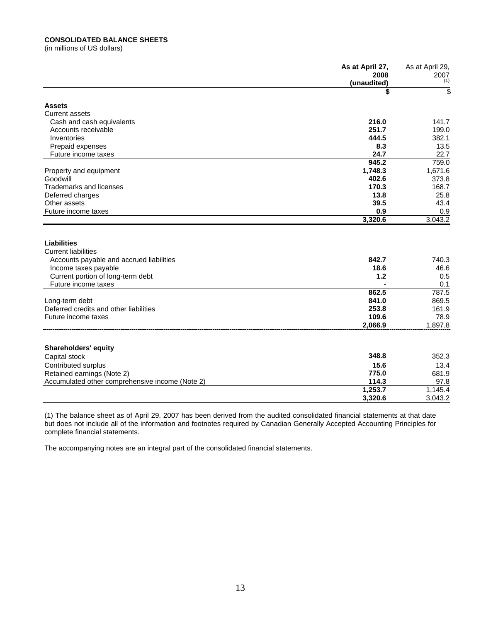### **CONSOLIDATED BALANCE SHEETS**

(in millions of US dollars)

|                                                                                                                                                           | As at April 27,      | As at April 29,      |
|-----------------------------------------------------------------------------------------------------------------------------------------------------------|----------------------|----------------------|
|                                                                                                                                                           | 2008<br>(unaudited)  | 2007<br>(1)          |
|                                                                                                                                                           | \$                   | s                    |
| <b>Assets</b>                                                                                                                                             |                      |                      |
| <b>Current assets</b>                                                                                                                                     |                      |                      |
| Cash and cash equivalents                                                                                                                                 | 216.0                | 141.7                |
| Accounts receivable                                                                                                                                       | 251.7                | 199.0                |
| Inventories                                                                                                                                               | 444.5                | 382.1                |
| Prepaid expenses                                                                                                                                          | 8.3                  | 13.5                 |
| Future income taxes                                                                                                                                       | 24.7                 | 22.7                 |
|                                                                                                                                                           | 945.2                | 759.0                |
| Property and equipment                                                                                                                                    | 1,748.3              | 1,671.6              |
| Goodwill                                                                                                                                                  | 402.6                | 373.8                |
| <b>Trademarks and licenses</b>                                                                                                                            | 170.3                | 168.7                |
| Deferred charges                                                                                                                                          | 13.8                 | 25.8                 |
| Other assets                                                                                                                                              | 39.5                 | 43.4                 |
| Future income taxes                                                                                                                                       | 0.9                  | 0.9                  |
|                                                                                                                                                           | 3,320.6              | 3,043.2              |
| <b>Liabilities</b><br><b>Current liabilities</b><br>Accounts payable and accrued liabilities<br>Income taxes payable<br>Current portion of long-term debt | 842.7<br>18.6<br>1.2 | 740.3<br>46.6<br>0.5 |
| Future income taxes                                                                                                                                       |                      | 0.1                  |
|                                                                                                                                                           | 862.5                | 787.5                |
| Long-term debt                                                                                                                                            | 841.0                | 869.5                |
| Deferred credits and other liabilities                                                                                                                    | 253.8                | 161.9                |
| Future income taxes                                                                                                                                       | 109.6                | 78.9                 |
|                                                                                                                                                           | 2,066.9              | 1,897.8              |
| <b>Shareholders' equity</b>                                                                                                                               |                      |                      |
| Capital stock                                                                                                                                             | 348.8                | 352.3                |
| Contributed surplus                                                                                                                                       | 15.6                 | 13.4                 |
| Retained earnings (Note 2)                                                                                                                                | 775.0                | 681.9                |
| Accumulated other comprehensive income (Note 2)                                                                                                           | 114.3                | 97.8                 |
|                                                                                                                                                           | 1,253.7              | 1,145.4              |
|                                                                                                                                                           | 3,320.6              | 3,043.2              |

(1) The balance sheet as of April 29, 2007 has been derived from the audited consolidated financial statements at that date but does not include all of the information and footnotes required by Canadian Generally Accepted Accounting Principles for complete financial statements.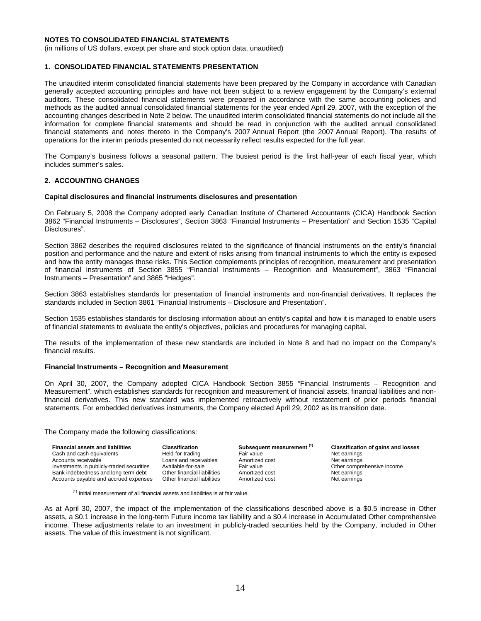(in millions of US dollars, except per share and stock option data, unaudited)

#### **1. CONSOLIDATED FINANCIAL STATEMENTS PRESENTATION**

The unaudited interim consolidated financial statements have been prepared by the Company in accordance with Canadian generally accepted accounting principles and have not been subject to a review engagement by the Company's external auditors. These consolidated financial statements were prepared in accordance with the same accounting policies and methods as the audited annual consolidated financial statements for the year ended April 29, 2007, with the exception of the accounting changes described in Note 2 below. The unaudited interim consolidated financial statements do not include all the information for complete financial statements and should be read in conjunction with the audited annual consolidated financial statements and notes thereto in the Company's 2007 Annual Report (the 2007 Annual Report). The results of operations for the interim periods presented do not necessarily reflect results expected for the full year.

The Company's business follows a seasonal pattern. The busiest period is the first half-year of each fiscal year, which includes summer's sales.

#### **2. ACCOUNTING CHANGES**

#### **Capital disclosures and financial instruments disclosures and presentation**

On February 5, 2008 the Company adopted early Canadian Institute of Chartered Accountants (CICA) Handbook Section 3862 "Financial Instruments – Disclosures", Section 3863 "Financial Instruments – Presentation" and Section 1535 "Capital Disclosures".

Section 3862 describes the required disclosures related to the significance of financial instruments on the entity's financial position and performance and the nature and extent of risks arising from financial instruments to which the entity is exposed and how the entity manages those risks. This Section complements principles of recognition, measurement and presentation of financial instruments of Section 3855 "Financial Instruments – Recognition and Measurement", 3863 "Financial Instruments – Presentation" and 3865 "Hedges".

Section 3863 establishes standards for presentation of financial instruments and non-financial derivatives. It replaces the standards included in Section 3861 "Financial Instruments – Disclosure and Presentation".

Section 1535 establishes standards for disclosing information about an entity's capital and how it is managed to enable users of financial statements to evaluate the entity's objectives, policies and procedures for managing capital.

The results of the implementation of these new standards are included in Note 8 and had no impact on the Company's financial results.

#### **Financial Instruments – Recognition and Measurement**

On April 30, 2007, the Company adopted CICA Handbook Section 3855 "Financial Instruments – Recognition and Measurement", which establishes standards for recognition and measurement of financial assets, financial liabilities and nonfinancial derivatives. This new standard was implemented retroactively without restatement of prior periods financial statements. For embedded derivatives instruments, the Company elected April 29, 2002 as its transition date.

The Company made the following classifications:

| <b>Financial assets and liabilities</b>   | <b>Classification</b>       | Subsequent measurement (1) | <b>Classification of gains and losses</b> |
|-------------------------------------------|-----------------------------|----------------------------|-------------------------------------------|
| Cash and cash equivalents                 | Held-for-trading            | Fair value                 | Net earnings                              |
| Accounts receivable                       | Loans and receivables       | Amortized cost             | Net earnings                              |
| Investments in publicly-traded securities | Available-for-sale          | Fair value                 | Other comprehensive income                |
| Bank indebtedness and long-term debt      | Other financial liabilities | Amortized cost             | Net earnings                              |
| Accounts payable and accrued expenses     | Other financial liabilities | Amortized cost             | Net earnings                              |

 $(1)$  Initial measurement of all financial assets and liabilities is at fair value.

As at April 30, 2007, the impact of the implementation of the classifications described above is a \$0.5 increase in Other assets, a \$0.1 increase in the long-term Future income tax liability and a \$0.4 increase in Accumulated Other comprehensive income. These adjustments relate to an investment in publicly-traded securities held by the Company, included in Other assets. The value of this investment is not significant.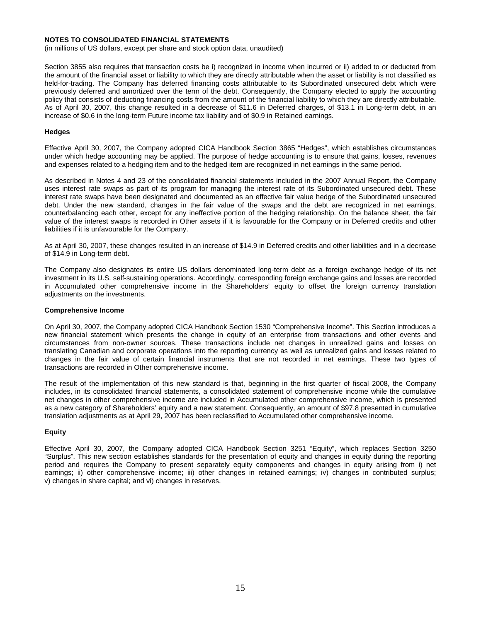(in millions of US dollars, except per share and stock option data, unaudited)

Section 3855 also requires that transaction costs be i) recognized in income when incurred or ii) added to or deducted from the amount of the financial asset or liability to which they are directly attributable when the asset or liability is not classified as held-for-trading. The Company has deferred financing costs attributable to its Subordinated unsecured debt which were previously deferred and amortized over the term of the debt. Consequently, the Company elected to apply the accounting policy that consists of deducting financing costs from the amount of the financial liability to which they are directly attributable. As of April 30, 2007, this change resulted in a decrease of \$11.6 in Deferred charges, of \$13.1 in Long-term debt, in an increase of \$0.6 in the long-term Future income tax liability and of \$0.9 in Retained earnings.

#### **Hedges**

Effective April 30, 2007, the Company adopted CICA Handbook Section 3865 "Hedges", which establishes circumstances under which hedge accounting may be applied. The purpose of hedge accounting is to ensure that gains, losses, revenues and expenses related to a hedging item and to the hedged item are recognized in net earnings in the same period.

As described in Notes 4 and 23 of the consolidated financial statements included in the 2007 Annual Report, the Company uses interest rate swaps as part of its program for managing the interest rate of its Subordinated unsecured debt. These interest rate swaps have been designated and documented as an effective fair value hedge of the Subordinated unsecured debt. Under the new standard, changes in the fair value of the swaps and the debt are recognized in net earnings, counterbalancing each other, except for any ineffective portion of the hedging relationship. On the balance sheet, the fair value of the interest swaps is recorded in Other assets if it is favourable for the Company or in Deferred credits and other liabilities if it is unfavourable for the Company.

As at April 30, 2007, these changes resulted in an increase of \$14.9 in Deferred credits and other liabilities and in a decrease of \$14.9 in Long-term debt.

The Company also designates its entire US dollars denominated long-term debt as a foreign exchange hedge of its net investment in its U.S. self-sustaining operations. Accordingly, corresponding foreign exchange gains and losses are recorded in Accumulated other comprehensive income in the Shareholders' equity to offset the foreign currency translation adjustments on the investments.

#### **Comprehensive Income**

On April 30, 2007, the Company adopted CICA Handbook Section 1530 "Comprehensive Income". This Section introduces a new financial statement which presents the change in equity of an enterprise from transactions and other events and circumstances from non-owner sources. These transactions include net changes in unrealized gains and losses on translating Canadian and corporate operations into the reporting currency as well as unrealized gains and losses related to changes in the fair value of certain financial instruments that are not recorded in net earnings. These two types of transactions are recorded in Other comprehensive income.

The result of the implementation of this new standard is that, beginning in the first quarter of fiscal 2008, the Company includes, in its consolidated financial statements, a consolidated statement of comprehensive income while the cumulative net changes in other comprehensive income are included in Accumulated other comprehensive income, which is presented as a new category of Shareholders' equity and a new statement. Consequently, an amount of \$97.8 presented in cumulative translation adjustments as at April 29, 2007 has been reclassified to Accumulated other comprehensive income.

#### **Equity**

Effective April 30, 2007, the Company adopted CICA Handbook Section 3251 "Equity", which replaces Section 3250 "Surplus". This new section establishes standards for the presentation of equity and changes in equity during the reporting period and requires the Company to present separately equity components and changes in equity arising from i) net earnings; ii) other comprehensive income; iii) other changes in retained earnings; iv) changes in contributed surplus; v) changes in share capital; and vi) changes in reserves.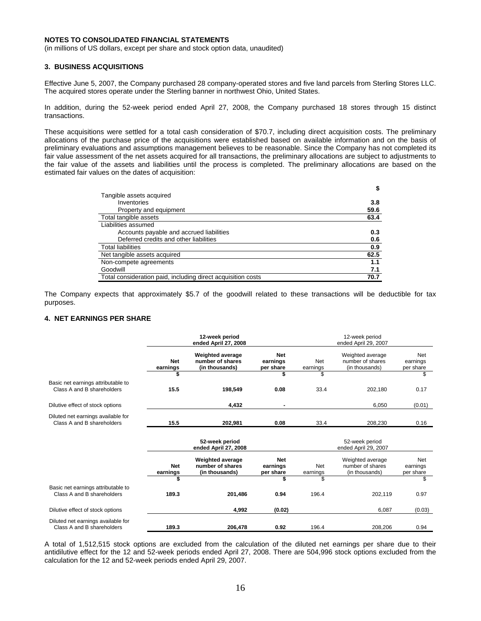(in millions of US dollars, except per share and stock option data, unaudited)

#### **3. BUSINESS ACQUISITIONS**

Effective June 5, 2007, the Company purchased 28 company-operated stores and five land parcels from Sterling Stores LLC. The acquired stores operate under the Sterling banner in northwest Ohio, United States.

In addition, during the 52-week period ended April 27, 2008, the Company purchased 18 stores through 15 distinct transactions.

These acquisitions were settled for a total cash consideration of \$70.7, including direct acquisition costs. The preliminary allocations of the purchase price of the acquisitions were established based on available information and on the basis of preliminary evaluations and assumptions management believes to be reasonable. Since the Company has not completed its fair value assessment of the net assets acquired for all transactions, the preliminary allocations are subject to adjustments to the fair value of the assets and liabilities until the process is completed. The preliminary allocations are based on the estimated fair values on the dates of acquisition:

|                                                              | \$   |
|--------------------------------------------------------------|------|
| Tangible assets acquired                                     |      |
| Inventories                                                  | 3.8  |
| Property and equipment                                       | 59.6 |
| Total tangible assets                                        | 63.4 |
| Liabilities assumed                                          |      |
| Accounts payable and accrued liabilities                     | 0.3  |
| Deferred credits and other liabilities                       | 0.6  |
| <b>Total liabilities</b>                                     | 0.9  |
| Net tangible assets acquired                                 | 62.5 |
| Non-compete agreements                                       | 1.1  |
| Goodwill                                                     | 7.1  |
| Total consideration paid, including direct acquisition costs | 70.7 |

The Company expects that approximately \$5.7 of the goodwill related to these transactions will be deductible for tax purposes.

#### **4. NET EARNINGS PER SHARE**

|                                                                  | 12-week period<br>ended April 27, 2008 |                                                               |                                     | 12-week period<br>ended April 29, 2007 |                                                        |                              |  |
|------------------------------------------------------------------|----------------------------------------|---------------------------------------------------------------|-------------------------------------|----------------------------------------|--------------------------------------------------------|------------------------------|--|
|                                                                  | <b>Net</b><br>earnings                 | <b>Weighted average</b><br>number of shares<br>(in thousands) | <b>Net</b><br>earnings<br>per share | Net<br>earnings                        | Weighted average<br>number of shares<br>(in thousands) | Net<br>earnings<br>per share |  |
|                                                                  |                                        |                                                               | \$                                  | \$                                     |                                                        | \$                           |  |
| Basic net earnings attributable to<br>Class A and B shareholders | 15.5                                   | 198,549                                                       | 0.08                                | 33.4                                   | 202,180                                                | 0.17                         |  |
| Dilutive effect of stock options                                 |                                        | 4,432                                                         |                                     |                                        | 6,050                                                  | (0.01)                       |  |
| Diluted net earnings available for<br>Class A and B shareholders | 15.5                                   | 202,981                                                       | 0.08                                | 33.4                                   | 208,230                                                | 0.16                         |  |
|                                                                  |                                        | 52-week period<br>ended April 27, 2008                        |                                     |                                        | 52-week period<br>ended April 29, 2007                 |                              |  |
|                                                                  | <b>Net</b><br>earnings                 | <b>Weighted average</b><br>number of shares<br>(in thousands) | <b>Net</b><br>earnings<br>per share | Net<br>earnings                        | Weighted average<br>number of shares<br>(in thousands) | Net<br>earnings<br>per share |  |
|                                                                  |                                        |                                                               |                                     | \$.                                    |                                                        | \$                           |  |
| Basic net earnings attributable to<br>Class A and B shareholders | 189.3                                  | 201,486                                                       | 0.94                                | 196.4                                  | 202,119                                                | 0.97                         |  |
| Dilutive effect of stock options                                 |                                        | 4,992                                                         | (0.02)                              |                                        | 6,087                                                  | (0.03)                       |  |
| Diluted net earnings available for<br>Class A and B shareholders | 189.3                                  | 206,478                                                       | 0.92                                | 196.4                                  | 208,206                                                | 0.94                         |  |

A total of 1,512,515 stock options are excluded from the calculation of the diluted net earnings per share due to their antidilutive effect for the 12 and 52-week periods ended April 27, 2008. There are 504,996 stock options excluded from the calculation for the 12 and 52-week periods ended April 29, 2007.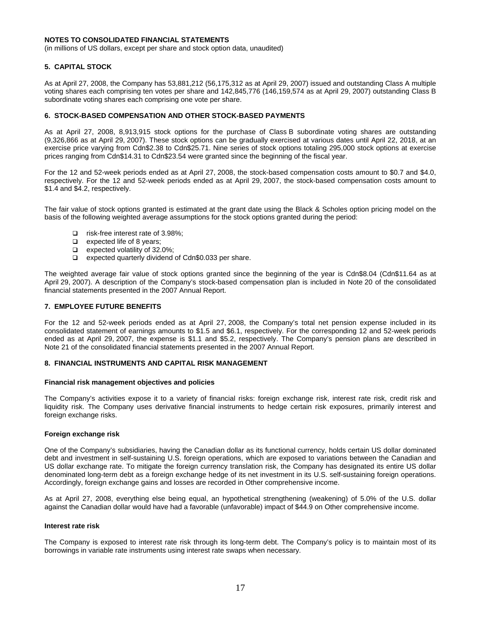(in millions of US dollars, except per share and stock option data, unaudited)

#### **5. CAPITAL STOCK**

As at April 27, 2008, the Company has 53,881,212 (56,175,312 as at April 29, 2007) issued and outstanding Class A multiple voting shares each comprising ten votes per share and 142,845,776 (146,159,574 as at April 29, 2007) outstanding Class B subordinate voting shares each comprising one vote per share.

#### **6. STOCK-BASED COMPENSATION AND OTHER STOCK-BASED PAYMENTS**

As at April 27, 2008, 8,913,915 stock options for the purchase of Class B subordinate voting shares are outstanding (9,326,866 as at April 29, 2007). These stock options can be gradually exercised at various dates until April 22, 2018, at an exercise price varying from Cdn\$2.38 to Cdn\$25.71. Nine series of stock options totaling 295,000 stock options at exercise prices ranging from Cdn\$14.31 to Cdn\$23.54 were granted since the beginning of the fiscal year.

For the 12 and 52-week periods ended as at April 27, 2008, the stock-based compensation costs amount to \$0.7 and \$4.0, respectively. For the 12 and 52-week periods ended as at April 29, 2007, the stock-based compensation costs amount to \$1.4 and \$4.2, respectively.

The fair value of stock options granted is estimated at the grant date using the Black & Scholes option pricing model on the basis of the following weighted average assumptions for the stock options granted during the period:

- □ risk-free interest rate of 3.98%;
- $\Box$  expected life of 8 years;
- expected volatility of 32.0%;
- □ expected quarterly dividend of Cdn\$0.033 per share.

The weighted average fair value of stock options granted since the beginning of the year is Cdn\$8.04 (Cdn\$11.64 as at April 29, 2007). A description of the Company's stock-based compensation plan is included in Note 20 of the consolidated financial statements presented in the 2007 Annual Report.

#### **7. EMPLOYEE FUTURE BENEFITS**

For the 12 and 52-week periods ended as at April 27, 2008, the Company's total net pension expense included in its consolidated statement of earnings amounts to \$1.5 and \$6.1, respectively. For the corresponding 12 and 52-week periods ended as at April 29, 2007, the expense is \$1.1 and \$5.2, respectively. The Company's pension plans are described in Note 21 of the consolidated financial statements presented in the 2007 Annual Report.

#### **8. FINANCIAL INSTRUMENTS AND CAPITAL RISK MANAGEMENT**

#### **Financial risk management objectives and policies**

The Company's activities expose it to a variety of financial risks: foreign exchange risk, interest rate risk, credit risk and liquidity risk. The Company uses derivative financial instruments to hedge certain risk exposures, primarily interest and foreign exchange risks.

#### **Foreign exchange risk**

One of the Company's subsidiaries, having the Canadian dollar as its functional currency, holds certain US dollar dominated debt and investment in self-sustaining U.S. foreign operations, which are exposed to variations between the Canadian and US dollar exchange rate. To mitigate the foreign currency translation risk, the Company has designated its entire US dollar denominated long-term debt as a foreign exchange hedge of its net investment in its U.S. self-sustaining foreign operations. Accordingly, foreign exchange gains and losses are recorded in Other comprehensive income.

As at April 27, 2008, everything else being equal, an hypothetical strengthening (weakening) of 5.0% of the U.S. dollar against the Canadian dollar would have had a favorable (unfavorable) impact of \$44.9 on Other comprehensive income.

#### **Interest rate risk**

The Company is exposed to interest rate risk through its long-term debt. The Company's policy is to maintain most of its borrowings in variable rate instruments using interest rate swaps when necessary.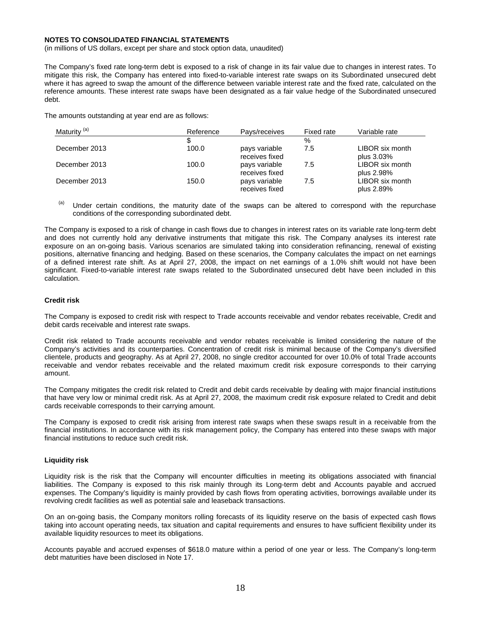(in millions of US dollars, except per share and stock option data, unaudited)

The Company's fixed rate long-term debt is exposed to a risk of change in its fair value due to changes in interest rates. To mitigate this risk, the Company has entered into fixed-to-variable interest rate swaps on its Subordinated unsecured debt where it has agreed to swap the amount of the difference between variable interest rate and the fixed rate, calculated on the reference amounts. These interest rate swaps have been designated as a fair value hedge of the Subordinated unsecured debt.

The amounts outstanding at year end are as follows:

| Maturity <sup>(a)</sup> | Reference | Pays/receives                   | Fixed rate | Variable rate                 |
|-------------------------|-----------|---------------------------------|------------|-------------------------------|
|                         | S         |                                 | $\%$       |                               |
| December 2013           | 100.0     | pays variable<br>receives fixed | 7.5        | LIBOR six month<br>plus 3.03% |
| December 2013           | 100.0     | pays variable<br>receives fixed | 7.5        | LIBOR six month<br>plus 2.98% |
| December 2013           | 150.0     | pays variable<br>receives fixed | 7.5        | LIBOR six month<br>plus 2.89% |

 $(a)$  Under certain conditions, the maturity date of the swaps can be altered to correspond with the repurchase conditions of the corresponding subordinated debt.

The Company is exposed to a risk of change in cash flows due to changes in interest rates on its variable rate long-term debt and does not currently hold any derivative instruments that mitigate this risk. The Company analyses its interest rate exposure on an on-going basis. Various scenarios are simulated taking into consideration refinancing, renewal of existing positions, alternative financing and hedging. Based on these scenarios, the Company calculates the impact on net earnings of a defined interest rate shift. As at April 27, 2008, the impact on net earnings of a 1.0% shift would not have been significant. Fixed-to-variable interest rate swaps related to the Subordinated unsecured debt have been included in this calculation.

#### **Credit risk**

The Company is exposed to credit risk with respect to Trade accounts receivable and vendor rebates receivable, Credit and debit cards receivable and interest rate swaps.

Credit risk related to Trade accounts receivable and vendor rebates receivable is limited considering the nature of the Company's activities and its counterparties. Concentration of credit risk is minimal because of the Company's diversified clientele, products and geography. As at April 27, 2008, no single creditor accounted for over 10.0% of total Trade accounts receivable and vendor rebates receivable and the related maximum credit risk exposure corresponds to their carrying amount.

The Company mitigates the credit risk related to Credit and debit cards receivable by dealing with major financial institutions that have very low or minimal credit risk. As at April 27, 2008, the maximum credit risk exposure related to Credit and debit cards receivable corresponds to their carrying amount.

The Company is exposed to credit risk arising from interest rate swaps when these swaps result in a receivable from the financial institutions. In accordance with its risk management policy, the Company has entered into these swaps with major financial institutions to reduce such credit risk.

#### **Liquidity risk**

Liquidity risk is the risk that the Company will encounter difficulties in meeting its obligations associated with financial liabilities. The Company is exposed to this risk mainly through its Long-term debt and Accounts payable and accrued expenses. The Company's liquidity is mainly provided by cash flows from operating activities, borrowings available under its revolving credit facilities as well as potential sale and leaseback transactions.

On an on-going basis, the Company monitors rolling forecasts of its liquidity reserve on the basis of expected cash flows taking into account operating needs, tax situation and capital requirements and ensures to have sufficient flexibility under its available liquidity resources to meet its obligations.

Accounts payable and accrued expenses of \$618.0 mature within a period of one year or less. The Company's long-term debt maturities have been disclosed in Note 17.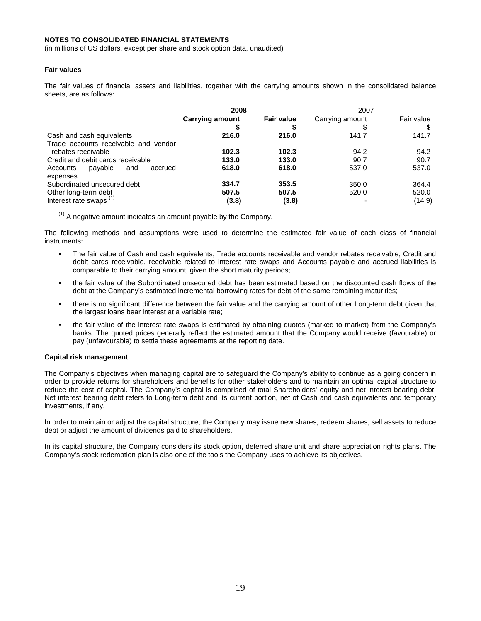(in millions of US dollars, except per share and stock option data, unaudited)

#### **Fair values**

The fair values of financial assets and liabilities, together with the carrying amounts shown in the consolidated balance sheets, are as follows:

|                                       | 2008                   |                   | 2007            |            |
|---------------------------------------|------------------------|-------------------|-----------------|------------|
|                                       | <b>Carrying amount</b> | <b>Fair value</b> | Carrying amount | Fair value |
|                                       |                        |                   |                 |            |
| Cash and cash equivalents             | 216.0                  | 216.0             | 141.7           | 141.7      |
| Trade accounts receivable and vendor  |                        |                   |                 |            |
| rebates receivable                    | 102.3                  | 102.3             | 94.2            | 94.2       |
| Credit and debit cards receivable     | 133.0                  | 133.0             | 90.7            | 90.7       |
| payable<br>Accounts<br>accrued<br>and | 618.0                  | 618.0             | 537.0           | 537.0      |
| expenses                              |                        |                   |                 |            |
| Subordinated unsecured debt           | 334.7                  | 353.5             | 350.0           | 364.4      |
| Other long-term debt                  | 507.5                  | 507.5             | 520.0           | 520.0      |
| Interest rate swaps <sup>(1)</sup>    | (3.8)                  | (3.8)             |                 | (14.9)     |

 $<sup>(1)</sup>$  A negative amount indicates an amount payable by the Company.</sup>

The following methods and assumptions were used to determine the estimated fair value of each class of financial instruments:

- The fair value of Cash and cash equivalents, Trade accounts receivable and vendor rebates receivable, Credit and debit cards receivable, receivable related to interest rate swaps and Accounts payable and accrued liabilities is comparable to their carrying amount, given the short maturity periods;
- the fair value of the Subordinated unsecured debt has been estimated based on the discounted cash flows of the debt at the Company's estimated incremental borrowing rates for debt of the same remaining maturities;
- there is no significant difference between the fair value and the carrying amount of other Long-term debt given that the largest loans bear interest at a variable rate;
- the fair value of the interest rate swaps is estimated by obtaining quotes (marked to market) from the Company's banks. The quoted prices generally reflect the estimated amount that the Company would receive (favourable) or pay (unfavourable) to settle these agreements at the reporting date.

#### **Capital risk management**

The Company's objectives when managing capital are to safeguard the Company's ability to continue as a going concern in order to provide returns for shareholders and benefits for other stakeholders and to maintain an optimal capital structure to reduce the cost of capital. The Company's capital is comprised of total Shareholders' equity and net interest bearing debt. Net interest bearing debt refers to Long-term debt and its current portion, net of Cash and cash equivalents and temporary investments, if any.

In order to maintain or adjust the capital structure, the Company may issue new shares, redeem shares, sell assets to reduce debt or adjust the amount of dividends paid to shareholders.

In its capital structure, the Company considers its stock option, deferred share unit and share appreciation rights plans. The Company's stock redemption plan is also one of the tools the Company uses to achieve its objectives.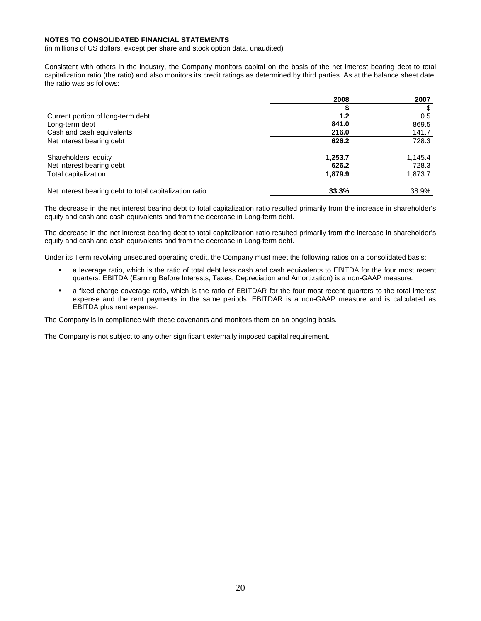(in millions of US dollars, except per share and stock option data, unaudited)

Consistent with others in the industry, the Company monitors capital on the basis of the net interest bearing debt to total capitalization ratio (the ratio) and also monitors its credit ratings as determined by third parties. As at the balance sheet date, the ratio was as follows:

|                                                         | 2008    | 2007    |
|---------------------------------------------------------|---------|---------|
|                                                         |         |         |
| Current portion of long-term debt                       | 1.2     | 0.5     |
| Long-term debt                                          | 841.0   | 869.5   |
| Cash and cash equivalents                               | 216.0   | 141.7   |
| Net interest bearing debt                               | 626.2   | 728.3   |
| Shareholders' equity                                    | 1,253.7 | 1,145.4 |
| Net interest bearing debt                               | 626.2   | 728.3   |
| Total capitalization                                    | 1,879.9 | 1,873.7 |
| Net interest bearing debt to total capitalization ratio | 33.3%   | 38.9%   |

The decrease in the net interest bearing debt to total capitalization ratio resulted primarily from the increase in shareholder's equity and cash and cash equivalents and from the decrease in Long-term debt.

The decrease in the net interest bearing debt to total capitalization ratio resulted primarily from the increase in shareholder's equity and cash and cash equivalents and from the decrease in Long-term debt.

Under its Term revolving unsecured operating credit, the Company must meet the following ratios on a consolidated basis:

- a leverage ratio, which is the ratio of total debt less cash and cash equivalents to EBITDA for the four most recent quarters. EBITDA (Earning Before Interests, Taxes, Depreciation and Amortization) is a non-GAAP measure.
- a fixed charge coverage ratio, which is the ratio of EBITDAR for the four most recent quarters to the total interest expense and the rent payments in the same periods. EBITDAR is a non-GAAP measure and is calculated as EBITDA plus rent expense.

The Company is in compliance with these covenants and monitors them on an ongoing basis.

The Company is not subject to any other significant externally imposed capital requirement.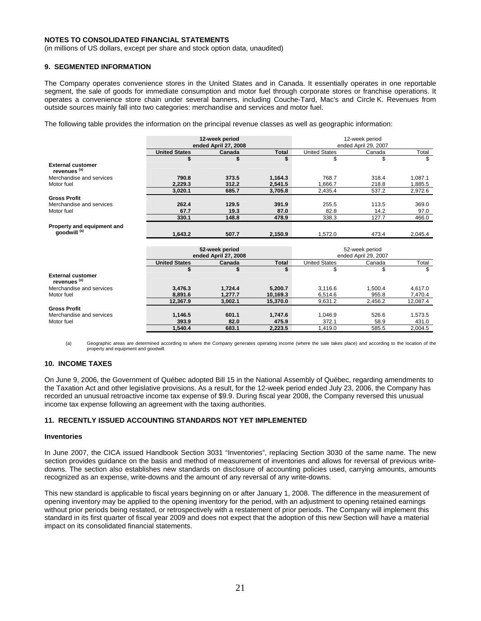(in millions of US dollars, except per share and stock option data, unaudited)

#### **9. SEGMENTED INFORMATION**

The Company operates convenience stores in the United States and in Canada. It essentially operates in one reportable segment, the sale of goods for immediate consumption and motor fuel through corporate stores or franchise operations. It operates a convenience store chain under several banners, including Couche-Tard, Mac's and Circle K. Revenues from outside sources mainly fall into two categories: merchandise and services and motor fuel.

The following table provides the information on the principal revenue classes as well as geographic information:

|                                                       | 12-week period<br>ended April 27, 2008 |                                        |              | 12-week period<br>ended April 29, 2007 |                                        |         |
|-------------------------------------------------------|----------------------------------------|----------------------------------------|--------------|----------------------------------------|----------------------------------------|---------|
|                                                       | <b>United States</b>                   | Canada                                 | <b>Total</b> | <b>United States</b>                   | Canada                                 | Total   |
|                                                       | \$                                     | \$                                     | \$           | \$                                     | \$                                     | \$      |
| <b>External customer</b><br>revenues <sup>(a)</sup>   |                                        |                                        |              |                                        |                                        |         |
| Merchandise and services                              | 790.8                                  | 373.5                                  | 1,164.3      | 768.7                                  | 318.4                                  | 1,087.1 |
| Motor fuel                                            | 2,229.3                                | 312.2                                  | 2,541.5      | 1,666.7                                | 218.8                                  | 1,885.5 |
|                                                       | 3,020.1                                | 685.7                                  | 3,705.8      | 2,435.4                                | 537.2                                  | 2,972.6 |
| <b>Gross Profit</b>                                   |                                        |                                        |              |                                        |                                        |         |
| Merchandise and services                              | 262.4                                  | 129.5                                  | 391.9        | 255.5                                  | 113.5                                  | 369.0   |
| Motor fuel                                            | 67.7                                   | 19.3                                   | 87.0         | 82.8                                   | 14.2                                   | 97.0    |
|                                                       | 330.1                                  | 148.8                                  | 478.9        | 338.3                                  | 127.7                                  | 466.0   |
| Property and equipment and<br>goodwill <sup>(a)</sup> |                                        |                                        |              |                                        |                                        |         |
|                                                       | 1,643.2                                | 507.7                                  | 2,150.9      | 1,572.0                                | 473.4                                  | 2,045.4 |
|                                                       |                                        |                                        |              |                                        |                                        |         |
|                                                       |                                        | 52-week period<br>ended April 27, 2008 |              |                                        | 52-week period<br>ended April 29, 2007 |         |
|                                                       | <b>United States</b>                   | Canada                                 | <b>Total</b> | <b>United States</b>                   | Canada                                 | Total   |
|                                                       | \$                                     | \$                                     | \$           | \$                                     | \$                                     | \$      |
| <b>External customer</b><br>revenues <sup>(a)</sup>   |                                        |                                        |              |                                        |                                        |         |
| Merchandise and services                              | 3,476.3                                | 1,724.4                                | 5,200.7      | 3,116.6                                | 1,500.4                                | 4,617.0 |
| Motor fuel                                            | 8,891.6                                | 1,277.7                                | 10,169.3     | 6,514.6                                | 955.8                                  | 7,470.4 |

**12,367.9 3,002.1 15,370.0** 9,631.2 2,456.2 12,087.4 **Gross Profit**  Merchandise and services **1,146.5 1,146.5 601.1 1,747.6 1**,046.9 **526.6 1**,573.5 Motor fuel **393.9 82.0 475.9** 372.1 58.9 431.0 **1,540.4 683.1 2,223.5** 1,419.0 585.5 2,004.5

(a) Geographic areas are determined according to where the Company generates operating income (where the sale takes place) and according to the location of the property and equipment and goodwill.

#### **10. INCOME TAXES**

On June 9, 2006, the Government of Québec adopted Bill 15 in the National Assembly of Québec, regarding amendments to the Taxation Act and other legislative provisions. As a result, for the 12-week period ended July 23, 2006, the Company has recorded an unusual retroactive income tax expense of \$9.9. During fiscal year 2008, the Company reversed this unusual income tax expense following an agreement with the taxing authorities.

#### **11. RECENTLY ISSUED ACCOUNTING STANDARDS NOT YET IMPLEMENTED**

#### **Inventories**

In June 2007, the CICA issued Handbook Section 3031 "Inventories", replacing Section 3030 of the same name. The new section provides guidance on the basis and method of measurement of inventories and allows for reversal of previous writedowns. The section also establishes new standards on disclosure of accounting policies used, carrying amounts, amounts recognized as an expense, write-downs and the amount of any reversal of any write-downs.

This new standard is applicable to fiscal years beginning on or after January 1, 2008. The difference in the measurement of opening inventory may be applied to the opening inventory for the period, with an adjustment to opening retained earnings without prior periods being restated, or retrospectively with a restatement of prior periods. The Company will implement this standard in its first quarter of fiscal year 2009 and does not expect that the adoption of this new Section will have a material impact on its consolidated financial statements.